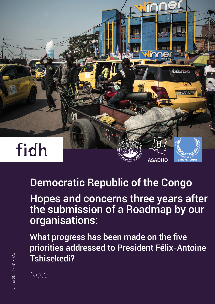

# Democratic Republic of the Congo

Hopes and concerns three years after the submission of a Roadmap by our organisations:

What progress has been made on the five priorities addressed to President Félix-Antoine Tshisekedi?

Note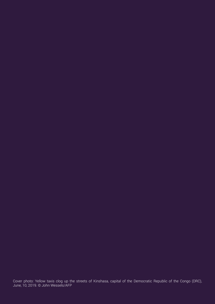Cover photo: Yellow taxis clog up the streets of Kinshasa, capital of the Democratic Republic of the Congo (DRC), June, 10, 2019. © John Wessels/AFP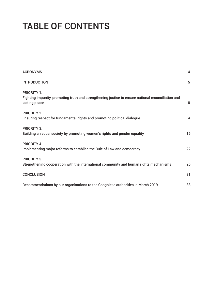# TABLE OF CONTENTS

| <b>ACRONYMS</b>                                                                                                                           | 4  |
|-------------------------------------------------------------------------------------------------------------------------------------------|----|
| <b>INTRODUCTION</b>                                                                                                                       | 5  |
| <b>PRIORITY 1.</b><br>Fighting impunity, promoting truth and strengthening justice to ensure national reconciliation and<br>lasting peace | 8  |
| PRIORITY 2.<br>Ensuring respect for fundamental rights and promoting political dialogue                                                   | 14 |
| PRIORITY 3.<br>Building an equal society by promoting women's rights and gender equality                                                  | 19 |
| PRIORITY 4.<br>Implementing major reforms to establish the Rule of Law and democracy                                                      | 22 |
| <b>PRIORITY 5.</b><br>Strengthening cooperation with the international community and human rights mechanisms                              | 26 |
| <b>CONCLUSION</b>                                                                                                                         | 31 |
| Recommendations by our organisations to the Congolese authorities in March 2019                                                           | 33 |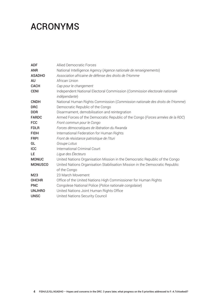## ACRONYMS

| <b>ADF</b>     | <b>Allied Democratic Forces</b>                                                             |
|----------------|---------------------------------------------------------------------------------------------|
| <b>ANR</b>     | National Intelligence Agency (Agence nationale de renseignements)                           |
| <b>ASADHO</b>  | Association africaine de défense des droits de l'Homme                                      |
| AU             | African Union                                                                               |
| <b>CACH</b>    | Cap pour le changement                                                                      |
| <b>CENI</b>    | Independent National Electoral Commission (Commission électorale nationale<br>indépendante) |
| <b>CNDH</b>    | National Human Rights Commission (Commission nationale des droits de l'Homme)               |
| <b>DRC</b>     | Democratic Republic of the Congo                                                            |
| <b>DDR</b>     | Disarmament, demobilisation and reintegration                                               |
| <b>FARDC</b>   | Armed Forces of the Democratic Republic of the Congo (Forces armées de la RDC)              |
| <b>FCC</b>     | Front commun pour le Congo                                                                  |
| <b>FDLR</b>    | Forces démocratiques de libération du Rwanda                                                |
| <b>FIDH</b>    | International Federation for Human Rights                                                   |
| <b>FRPI</b>    | Front de résistance patriotique de l'Ituri                                                  |
| GL             | Groupe Lotus                                                                                |
| <b>ICC</b>     | International Criminal Court                                                                |
| LE             | Ligue des Électeurs                                                                         |
| <b>MONUC</b>   | United Nations Organisation Mission in the Democratic Republic of the Congo                 |
| <b>MONUSCO</b> | United Nations Organisation Stabilisation Mission in the Democratic Republic                |
|                | of the Congo                                                                                |
| M23            | 23 March Movement                                                                           |
| <b>OHCHR</b>   | Office of the United Nations High Commissioner for Human Rights                             |
| <b>PNC</b>     | Congolese National Police (Police nationale congolaise)                                     |
| <b>UNJHRO</b>  | United Nations Joint Human Rights Office                                                    |
| <b>UNSC</b>    | United Nations Security Council                                                             |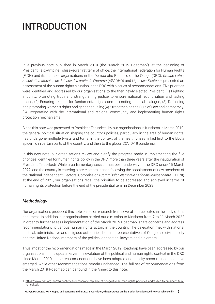# INTRODUCTION

In a previous note published in March 2019 (the "March 2019 Roadmap"), at the beginning of President Félix-Antoine Tshisekedi's first term of office, the International Federation for Human Rights (FIDH) and its member organisations in the Democratic Republic of the Congo (DRC), *Groupe Lotus, Association africaine de défense des droits de l'Homme* (ASADHO) and *Ligue des Électeurs*, presented an assessment of the human rights situation in the DRC with a series of recommendations. Five priorities were identified and addressed by our organisations to the then newly elected President: (1) Fighting impunity, promoting truth and strengthening justice to ensure national reconciliation and lasting peace; (2) Ensuring respect for fundamental rights and promoting political dialogue; (3) Defending and promoting women's rights and gender equality; (4) Strengthening the Rule of Law and democracy; (5) Cooperating with the international and regional community and implementing human rights protection mechanisms.<sup>1</sup>

Since this note was presented to President Tshisekedi by our organisations in Kinshasa in March 2019, the general political situation shaping the country's policies, particularly in the area of human rights, has undergone multiple twists and turns, in the context of the health crises linked first to the Ebola epidemic in certain parts of the country, and then to the global COVID-19 pandemic.

In this new note, our organisations review and clarify the progress made in implementing the five priorities identified for human rights policy in the DRC, more than three years after the inauguration of President Tshisekedi. While a parliamentary session has been underway in the DRC since 15 March 2022, and the country is entering a pre-electoral period following the appointment of new members of the National Independent Electoral Commission (*Commission électorale nationale indépendante* – CENI) at the end of 2021, our organisations recall the priorities to be addressed and achieved in terms of human rights protection before the end of the presidential term in December 2023.

#### *Methodology*

Our organisations produced this note based on research from several sources cited in the body of this document. In addition, our organisations carried out a mission to Kinshasa from 7 to 11 March 2022 in order to further assess implementation of the March 2019 Roadmap, share concerns and address recommendations to various human rights actors in the country. The delegation met with national political, administrative and religious authorities, but also representatives of Congolese civil society and the United Nations, members of the political opposition, lawyers and diplomats.

Thus, most of the recommendations made in the March 2019 Roadmap have been addressed by our organisations in this update. Given the evolution of the political and human rights context in the DRC since March 2019, some recommendations have been adapted and priority recommendations have emerged, while other recommendations remain unchanged. The full set of recommendations from the March 2019 Roadmap can be found in the Annex to this note.

<sup>1.</sup> [https://www.fidh.org/en/region/Africa/democratic-republic-of-congo/five-human-rights-priorities-addressed-to-president-felix](https://www.fidh.org/en/region/Africa/democratic-republic-of-congo/five-human-rights-priorities-addressed-to-president-felix-tshisekedi)[tshisekedi](https://www.fidh.org/en/region/Africa/democratic-republic-of-congo/five-human-rights-priorities-addressed-to-president-felix-tshisekedi).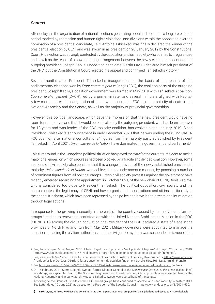#### *Context*

After delays in the organisation of national elections generating popular discontent, a long pre-election period marked by repression and human rights violations, and divisions within the opposition over the nomination of a presidential candidate, Félix-Antoine Tshisekedi was finally declared the winner of the presidential election by CENI and was sworn in as president on 20 January 2019 by the Constitutional Court. His election was strongly contested by the opposition and civil society, who pointed to irregularities and saw it as the result of a power-sharing arrangement between the newly elected president and the outgoing president, Joseph Kabila. Opposition candidate Martin Fayulu declared himself president of the DRC, but the Constitutional Court rejected his appeal and confirmed Tshisekedi's victory.<sup>2</sup>

Several months after President Tshisekedi's inauguration, on the basis of the results of the parliamentary elections won by *Front commun pour le Congo* (FCC), the coalition party of the outgoing president, Joseph Kabila, a coalition government was formed in May 2019 with Tshisekedi's coalition, *Cap sur le changement* (CACH), led by a prime minister and several ministers aligned with Kabila.3 A few months after the inauguration of the new president, the FCC held the majority of seats in the National Assembly and the Senate, as well as the majority of provincial governorships.

However, this political landscape, which gave the impression that the new president would have no room for manoeuvre and that it would be controlled by the outgoing president, who had been in power for 18 years and was leader of the FCC majority coalition, has evolved since January 2019. Since President Tshisekedi's announcement in early December 2020 that he was ending the ruling CACH/ FCC coalition after national consultations,<sup>4</sup> figures from the majority party established by President Tshisekedi in April 2021, *Union sacrée de la Nation*, have dominated the government and parliament.5

This turnaround in the Congolese political situation has paved the way for the current President to tackle major challenges, on which progress had been blocked by a fragile and divided coalition. However, some sections of civil society also consider that this change in favour of the newly established presidential majority, *Union sacrée de la Nation*, was achieved in an undemocratic manner, by poaching a number of prominent figures from all political camps. Fresh civil society protests against the government have recently emerged regarding the appointment, in October 2021, of the new chair of CENI, Denis Kadima, who is considered too close to President Tshisekedi. The political opposition, civil society and the church contest the legitimacy of CENI and have organised demonstrations and sit-ins, particularly in the capital Kinshasa, which have been repressed by the police and have led to arrests and intimidation through legal actions.

In response to the growing insecurity in the east of the country, caused by the activities of armed groups,<sup>6</sup> leading to renewed dissatisfaction with the United Nations Stabilisation Mission in the DRC (MONUSCO) among the civilian population, the President of the DRC declared a state of siege in the provinces of North Kivu and Ituri from May 2021. Military governors were appointed to manage the situation, replacing the civilian authorities, and the civil justice system was suspended in favour of the

<sup>2.</sup> See, for example *Jeune Afrique*, "RDC: Martin Fayulu s'autoproclame 'seul président légitime' du pays", 20 January 2019, <https://www.jeuneafrique.com/711471/politique/rdc-martin-fayulu-denonce-un-coup-detat-electoral/>(in French).

<sup>3.</sup> See, for example *Le Monde*, "RDC: le futur gouvernement de coalition finalement dévoilé", 26 August 2019, [https://www.lemonde.](https://www.lemonde.fr/afrique/article/2019/08/26/rdc-le-futur-gouvernement-de-coalition-finalement-devoile_5502865_3212.html) [fr/afrique/article/2019/08/26/rdc-le-futur-gouvernement-de-coalition-finalement-devoile\\_5502865\\_3212.html](https://www.lemonde.fr/afrique/article/2019/08/26/rdc-le-futur-gouvernement-de-coalition-finalement-devoile_5502865_3212.html) (in French).

<sup>4.</sup> See <https://www.rfi.fr/fr/afrique/20201206-rdc-f%C3%A9lix-tshisekedi-annonce-la-fin-de-la-coalition-fcc-cach> (in French).

<sup>5.</sup> On 15 February 2021, Sama Lukonde Kyenge, former Director General of the *Générale des Carrières et des Mines* (Gécamines) in Katanga, was appointed head of the *Union sacrée* government. In early February, Christophe Mboso was elected head of the National Assembly and in early March, Modeste Bahati Lukwebo was elected head of the Senate.

<sup>6.</sup> According to the Group of Experts on the DRC, armed groups have continued to operate with near impunity in eastern DRC. See Letter dated 10 June 2021 addressed to the President of the Security Council: [https://www.undocs.org/en/S/2021/560.](https://www.undocs.org/en/S/2021/560)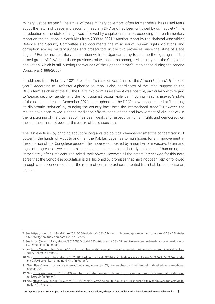military justice system.<sup>7</sup> The arrival of these military governors, often former rebels, has raised fears about the return of peace and security in eastern DRC and has been criticised by civil society.<sup>8</sup> The introduction of the state of siege was followed by a spike in violence, according to a parliamentary report on the situation in North Kivu from 2008 to 2021.9 Another report by the National Assembly's Defence and Security Committee also documents the misconduct, human rights violations and corruption among military judges and prosecutors in the two provinces since the state of siege began.10 Furthermore, military cooperation with the Ugandan army to step up the fight against the armed group ADF-NALU in these provinces raises concerns among civil society and the Congolese population, which is still nursing the wounds of the Ugandan army's intervention during the second Congo war (1998-2003).

In addition, from February 2021 President Tshisekedi was Chair of the African Union (AU) for one year.11 According to Professor Alphonse Ntumba Luaba, coordinator of the Panel supporting the DRC's term as chair of the AU, the DRC's mid-term assessment was positive, particularly with regard to "peace, security, gender and the fight against sexual violence".12 During Felix Tshisekedi's state of the nation address in December 2021, he emphasised the DRC's new stance aimed at "breaking its diplomatic isolation" by bringing the country back onto the international stage.13 However, the results have been mixed. Despite mediation efforts, consultation and involvement of civil society in the functioning of the organisation has been weak, and respect for human rights and democracy on the continent has not been at the centre of the discussions.

The last elections, by bringing about the long-awaited political changeover after the concentration of power in the hands of Mobutu and then the Kabilas, gave rise to high hopes for an improvement in the situation of the Congolese people. This hope was boosted by a number of measures taken and signs of progress, as well as promises and announcements, particularly in the area of human rights, immediately after President Tshisekedi took power. However, all the actors interviewed for this note agree that the Congolese population is disillusioned by promises that have not been kept or followed through and is concerned about the return of certain practices inherited from Kabila's authoritarian regime.

<sup>7.</sup> See [https://www.rfi.fr/fr/afrique/20210504-rdc-le-pr%C3%A9sident-tshisekedi-pose-les-contours-de-l-%C3%A9tat-de](https://www.rfi.fr/fr/afrique/20210504-rdc-le-pr%C3%A9sident-tshisekedi-pose-les-contours-de-l-%C3%A9tat-de-si%C3%A8ge-en-ituri-et-au-nord-kivu)[si%C3%A8ge-en-ituri-et-au-nord-kivu](https://www.rfi.fr/fr/afrique/20210504-rdc-le-pr%C3%A9sident-tshisekedi-pose-les-contours-de-l-%C3%A9tat-de-si%C3%A8ge-en-ituri-et-au-nord-kivu) (in French).

<sup>8.</sup> See [https://www.rfi.fr/fr/afrique/20210506-rdc-l-%C3%A9tat-de-si%C3%A8ge-entre-en-vigueur-dans-les-provinces-du-nord](https://www.rfi.fr/fr/afrique/20210506-rdc-l-%C3%A9tat-de-si%C3%A8ge-entre-en-vigueur-dans-les-provinces-du-nord-kivu-et-de-l-ituri)[kivu-et-de-l-ituri](https://www.rfi.fr/fr/afrique/20210506-rdc-l-%C3%A9tat-de-si%C3%A8ge-entre-en-vigueur-dans-les-provinces-du-nord-kivu-et-de-l-ituri) (in French).

<sup>9.</sup> See [https://www.rfi.fr/fr/afrique/20211110-violences-dans-les-territoires-de-beni-et-irumu-en-rdc-un-rapport-accablant-et](https://www.rfi.fr/fr/afrique/20211110-violences-dans-les-territoires-de-beni-et-irumu-en-rdc-un-rapport-accablant-et-fouill%C3%A9)[fouill%C3%A9](https://www.rfi.fr/fr/afrique/20211110-violences-dans-les-territoires-de-beni-et-irumu-en-rdc-un-rapport-accablant-et-fouill%C3%A9) (in French).

<sup>10.</sup> See [https://www.rfi.fr/fr/afrique/20211031-rdc-un-rapport-%C3%A9pingle-de-graves-entorses-%C3%A0-l-%C3%A9tat-de](https://www.rfi.fr/fr/afrique/20211031-rdc-un-rapport-%C3%A9pingle-de-graves-entorses-%C3%A0-l-%C3%A9tat-de-si%C3%A8ge-en-ituri-et-au-nord-kivu)[si%C3%A8ge-en-ituri-et-au-nord-kivu](https://www.rfi.fr/fr/afrique/20211031-rdc-un-rapport-%C3%A9pingle-de-graves-entorses-%C3%A0-l-%C3%A9tat-de-si%C3%A8ge-en-ituri-et-au-nord-kivu) (in French).

<sup>11.</sup> See [https://www.un.org/africarenewal/magazine/february-2021/new-au-chair-drc-president-felix-tshisekedi-sets-ambitious](https://www.un.org/africarenewal/magazine/february-2021/new-au-chair-drc-president-felix-tshisekedi-sets-ambitious-agenda-2021)[agenda-2021](https://www.un.org/africarenewal/magazine/february-2021/new-au-chair-drc-president-felix-tshisekedi-sets-ambitious-agenda-2021)

<sup>12.</sup> See [https://ouragan.cd/2021/09/ua-ntumba-luaba-dresse-un-bilan-positif-a-mi-parcours-de-la-mandature-de-felix](https://ouragan.cd/2021/09/ua-ntumba-luaba-dresse-un-bilan-positif-a-mi-parcours-de-la-mandature-de-felix-tshisekedi/)[tshisekedi/](https://ouragan.cd/2021/09/ua-ntumba-luaba-dresse-un-bilan-positif-a-mi-parcours-de-la-mandature-de-felix-tshisekedi/) (in French).

<sup>13.</sup> See [https://www.jeuneafrique.com/1281191/politique/rdc-ce-quil-faut-retenir-du-discours-de-felix-tshisekedi-sur-letat-de-la](https://www.jeuneafrique.com/1281191/politique/rdc-ce-quil-faut-retenir-du-discours-de-felix-tshisekedi-sur-letat-de-la-nation/)[nation/](https://www.jeuneafrique.com/1281191/politique/rdc-ce-quil-faut-retenir-du-discours-de-felix-tshisekedi-sur-letat-de-la-nation/) (in French).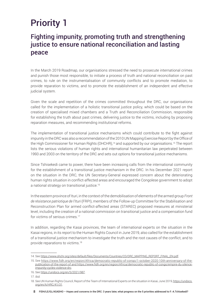## Priority 1

### Fighting impunity, promoting truth and strengthening justice to ensure national reconciliation and lasting peace

In the March 2019 Roadmap, our organisations stressed the need to prosecute international crimes and punish those most responsible, to initiate a process of truth and national reconciliation on past crimes, to rule on the instrumentalisation of community conflicts and to promote mediation, to provide reparation to victims, and to promote the establishment of an independent and effective judicial system.

Given the scale and repetition of the crimes committed throughout the DRC, our organisations called for the implementation of a holistic transitional justice policy, which could be based on the creation of specialised mixed chambers and a Truth and Reconciliation Commission, responsible for establishing the truth about past crimes, delivering justice to the victims, including by proposing reparation measures, and recommending institutional reforms.

The implementation of transitional justice mechanisms which could contribute to the fight against impunity in the DRC was also a recommendation of the 2010 UN Mapping Exercise Report by the Office of the High Commissioner for Human Rights (OHCHR),<sup>14</sup> and supported by our organisations.<sup>15</sup> The report lists the serious violations of human rights and international humanitarian law perpetrated between 1993 and 2003 on the territory of the DRC and sets out options for transitional justice mechanisms.

Since Tshisekedi came to power, there have been increasing calls from the international community for the establishment of a transitional justice mechanism in the DRC. In his December 2021 report on the situation in the DRC, the UN Secretary-General expressed concern about the deteriorating human rights situation in conflict-affected areas and encouraged the Congolese government to adopt a national strategy on transitional justice.16

In the eastern province of Ituri, in the context of the demobilisation of elements of the armed group *Front de résistance patriotique de l'Ituri* (FRPI), members of the Follow-up Committee for the Stabilisation and Reconstruction Plan for armed conflict-affected areas (STAREC) proposed measures at ministerial level, including the creation of a national commission on transitional justice and a compensation fund for victims of serious crimes.<sup>17</sup>

In addition, regarding the Kasai provinces, the team of international experts on the situation in the Kasai regions, in its report to the Human Rights Council in June 2019, also called for the establishment of a transitional justice mechanism to investigate the truth and the root causes of the conflict, and to provide reparations to victims.<sup>18</sup>

<sup>14.</sup> See [https://www.ohchr.org/sites/default/files/Documents/Countries/CD/DRC\\_MAPPING\\_REPORT\\_FINAL\\_EN.pdf](https://www.ohchr.org/sites/default/files/Documents/Countries/CD/DRC_MAPPING_REPORT_FINAL_EN.pdf).

<sup>15.</sup> See [https://www.fidh.org/en/region/Africa/democratic-republic-of-congo/1-october-2020-10th-anniversary-of-the](https://www.fidh.org/en/region/Africa/democratic-republic-of-congo/1-october-2020-10th-anniversary-of-the-publication-of-the-report-of)[publication-of-the-report-of](https://www.fidh.org/en/region/Africa/democratic-republic-of-congo/1-october-2020-10th-anniversary-of-the-publication-of-the-report-of) and [https://www.fidh.org/en/region/Africa/democratic-republic-of-congo/empire-du-silence](https://www.fidh.org/en/region/Africa/democratic-republic-of-congo/empire-du-silence-impunity-cycles-violence-drc)[impunity-cycles-violence-drc.](https://www.fidh.org/en/region/Africa/democratic-republic-of-congo/empire-du-silence-impunity-cycles-violence-drc)

<sup>16.</sup> See <https://undocs.org/en/S/2021/987>.

<sup>17.</sup> *Ibid.*

<sup>18.</sup> See UN Human Rights Council, Report of the Team of International Experts on the situation in Kasai, June 2019, [https://undocs.](https://undocs.org/en/A/HRC/41/31) [org/en/A/HRC/41/31.](https://undocs.org/en/A/HRC/41/31)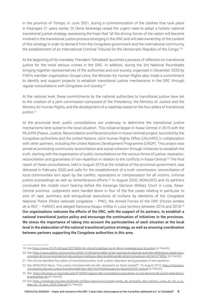In the province of Tshopo, in June 2021, during a commemoration of the clashes that took place in Kisangani 21 years earlier, Dr Denis Mukwege raised the urgent need to adopt a holistic national transitional justice strategy, expressing the hope that "all the driving forces of the nation will become involved in the transitional justice process emerging in the DRC and will take ownership of the content of this strategy in order to demand from the Congolese government and the international community the establishment of an International Criminal Tribunal for the Democratic Republic of the Congo."19

At the beginning of his mandate, President Tshisekedi launched a process of reflection on transitional justice for the most serious crimes in the DRC. In addition, during the 3rd National Roundtable bringing together representatives of the authorities and civil society, organised in December 2020 by FIDH's member organisation *Groupe Lotus*, the Minister for Human Rights also made a commitment to identify and support projects to establish transitional justice mechanisms in the DRC through regular consultations with Congolese civil society.20

At the national level, these commitments by the national authorities to transitional justice have led to the creation of a joint commission composed of the Presidency, the Ministry of Justice and the Ministry for Human Rights, and the development of a roadmap based on the four pillars of transitional justice.<sup>21</sup>

At the provincial level, public consultations are underway to determine the transitional justice mechanisms best suited to the local situation. This initiative began in Kasai-Central in 2019 with the PAJURR (Peace, Justice, Reconciliation and Reconstruction in Kasai-Central) project, launched by the Congolese authorities and the United Nations Joint Human Rights Office (UNJHRO) in collaboration with other partners, including the United Nations Development Programme (UNDP). This project was aimed at promoting community reconciliation and social cohesion through initiatives to establish the truth, starting with the organisation of public consultations on the various forms of justice, reparation, reconciliation and guarantees of non-repetition in relation to the conflicts in Kasai-Central.<sup>22</sup> The final report of these consultations, held in August 2019 at the initiative of the provincial government, was delivered in February 2020 and calls for the establishment of a truth commission, reconciliation of local communities torn apart by the conflict, reparations or compensation for all victims, criminal justice proceedings as well as remembrance efforts.<sup>23</sup> In August 2020, MONUSCO and its partners concluded the mobile court hearing before the Kananga Garrison Military Court in Luiza, Kasai-Central province. Judgments were handed down in four of the five cases relating in particular to acts of rape, summary and extrajudicial executions of civilians by elements of the Congolese National Police (*Police nationale congolaise* – PNC), the Armed Forces of the DRC (*Forces armées de la RDC* – FARDC) and alleged Kamuina Nsapu militia in Luiza territory between 2016 and 2018.24 Our organisations welcome the efforts of the DRC, with the support of its partners, to establish a national transitional justice policy and encourage the continuation of initiatives in the provinces. We stress the importance of taking into account the particularities of each situation at the local level in the elaboration of the national transitional justice strategy, as well as ensuring coordination between partners supporting the Congolese authorities in this area.

<sup>19.</sup> See <https://www.rfi.fr/fr/afrique/20210606-rdc-vibrant-plaidoyer-du-dr-denis-mukwege-pour-la-justice> (in French).

<sup>20.</sup> See [https://www.politico.cd/encontinu/2020/12/06/3eme-table-ronde-nationale-la-bipartite-autorites-defenseurs-plaide-pour](https://www.politico.cd/encontinu/2020/12/06/3eme-table-ronde-nationale-la-bipartite-autorites-defenseurs-plaide-pour-un-projet-de-loi-sur-la-protection-des-acteurs-impliques-dans-la-defense-des-droits-humains-en-rdc.html/73054/)[un-projet-de-loi-sur-la-protection-des-acteurs-impliques-dans-la-defense-des-droits-humains-en-rdc.html/73054/](https://www.politico.cd/encontinu/2020/12/06/3eme-table-ronde-nationale-la-bipartite-autorites-defenseurs-plaide-pour-un-projet-de-loi-sur-la-protection-des-acteurs-impliques-dans-la-defense-des-droits-humains-en-rdc.html/73054/) (in French).

<sup>21.</sup> The UN has identified four pillars of transitional justice: truth, justice, reparation and guarantees of non-repetition.

<sup>22.</sup> See MONUSCO News, "Une justice transitionnelle est-elle nécessaire au Kasaï central?", 16 August 2019, [https://monusco.](https://monusco.unmissions.org/une-justice-transitionnelle-est-t-elle-n%C3%A9cessaire-au-kasa%C3%AF-central) [unmissions.org/une-justice-transitionnelle-est-t-elle-n%C3%A9cessaire-au-kasa%C3%AF-central](https://monusco.unmissions.org/une-justice-transitionnelle-est-t-elle-n%C3%A9cessaire-au-kasa%C3%AF-central) (in French).

<sup>23.</sup> See [https://drcongo.un.org/index.php/fr/34304-rapport-des-consultations-populaires-sur-les-besoins-de-justice-reparations]( http://www.achpr.org/instruments/principles-guidelines-right-fair-trial/)[et-prevention-de]( http://www.achpr.org/instruments/principles-guidelines-right-fair-trial/) (in French).

<sup>24.</sup> See [https://reliefweb.int/sites/reliefweb.int/files/resources/compte-rendu\\_de\\_lactualite\\_des\\_nations\\_unies\\_en\\_rdc\\_a\\_la\\_](https://reliefweb.int/sites/reliefweb.int/files/resources/compte-rendu_de_lactualite_des_nations_unies_en_rdc_a_la_date_du_19_aout_2020_final.pdf) [date\\_du\\_19\\_aout\\_2020\\_final.pdf](https://reliefweb.int/sites/reliefweb.int/files/resources/compte-rendu_de_lactualite_des_nations_unies_en_rdc_a_la_date_du_19_aout_2020_final.pdf) (in French).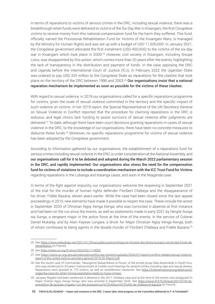In terms of reparations to victims of serious crimes in the DRC, including sexual violence, there was a breakthrough when funds were delivered to victims of the Six-Day War in Kisangani, the first Congolese victims to receive money from this national compensation fund for the harm they suffered. This fund, officially named the Provisional Rehabilitation Fund for Victims of the Kisangani Wars, is managed by the Ministry for Human Rights and was set up with a budget of USD 11,500,000. In January 2021, the Congolese government allocated the first instalment (USD 450,000) to the victims of the six-day war in Kisangani which took place in 2000.25 However, civil society in Kisangani, including *Groupe Lotus*, was disappointed by this action, which comes more than 20 years after the events, highlighting the lack of transparency in the distribution and payment of funds. In the case opposing the DRC and Uganda before the International Court of Justice (ICJ), in February 2022 the Ugandan State was ordered to pay USD 325 million to the Congolese State as reparations for the clashes that took place on the territory of the DRC between 1998 and 2003.<sup>26</sup> Our organisations insist that a national reparation mechanism be implemented as soon as possible for the victims of these clashes.

With regard to sexual violence, in 2019 our organisations called for a specific reparations programme for victims, given the scale of sexual violence committed in the territory and the specific impact of such violence on victims. In her 2019 report, the Special Representative of the UN Secretary-General on Sexual Violence in Conflict reported that the procedure for claiming reparations in the DRC is arduous, and legal clinics lack funding to assist survivors of sexual violence after judgments are delivered.<sup>27</sup> To date, although there have been court decisions granting reparations in cases of sexual violence in the DRC, to the knowledge of our organisations, there have been no concrete measures to disburse these funds.28 Moreover, no specific reparations programme for victims of sexual violence has been adopted by the Congolese government.

According to information gathered by our organisations, the establishment of a reparations fund for serious crimes including sexual violence in the DRC is under consideration at the National Assembly, and our organisations call for it to be debated and adopted during the March 2022 parliamentary session in the DRC, and rapidly implemented. Our organisations also stress the need for the compensation fund for victims of violations to include a coordination mechanism with the ICC Trust Fund for Victims regarding reparations in the Lubanga and Katanga cases, and soon in the Ntaganda case.

In terms of the fight against impunity, our organisations welcome the reopening in September 2021 of the trial for the murder of human rights defender Floribert Chebeya and the disappearance of his driver, Fidèle Bazana, eleven years earlier. While the case had been closed since the last appeal proceedings in 2015, new elements have made it possible to reopen the case. These include the arrest in September 2020 of Christian Ngoy Kenga Kenga, who was convicted *in absentia* at first instance and had been on the run since the events, as well as statements made in early 2021 by Hergile Ilunga wa Ilunga, a sergeant major in the police force at the time of the events, in the service of Colonel Daniel Mukalay, and by Alain Kayeye Longwa, a driver for Major Christian Ngoy Kenga Kenga, both of whom confessed to being agents in the double murder of Floribert Chebeya and Fidèle Bazana.<sup>29</sup>

<sup>25.</sup> See [https://www.radiookapi.net/2021/01/29/actualite/justice/tshopo-le-ministre-des-droits-humains-remet-des-fonds-de](https://www.radiookapi.net/2021/01/29/actualite/justice/tshopo-le-ministre-des-droits-humains-remet-des-fonds-de-rehabilitation)[rehabilitation](https://www.radiookapi.net/2021/01/29/actualite/justice/tshopo-le-ministre-des-droits-humains-remet-des-fonds-de-rehabilitation) (in French).

<sup>26.</sup> See [https://news.un.org/fr/story/2022/02/1114002.](https://news.un.org/fr/story/2022/02/1114002)

<sup>27.</sup> See [https://www.un.org/sexualviolenceinconflict/wp-content/uploads/2020/07/report/conflict-related-sexual-violence](https://www.un.org/sexualviolenceinconflict/wp-content/uploads/2020/07/report/conflict-related-sexual-violence-report-of-the-united-nations-secretary-general/2019-SG-Report.pdf)[report-of-the-united-nations-secretary-general/2019-SG-Report.pdf](https://www.un.org/sexualviolenceinconflict/wp-content/uploads/2020/07/report/conflict-related-sexual-violence-report-of-the-united-nations-secretary-general/2019-SG-Report.pdf).

<sup>28.</sup> See the recent case of Commander, Takungomo Mukambilwa Le Pouce, of the armed group Raïa Mutomboki in South Kivu, who was sentenced to 20 years' imprisonment at mobile court hearings for several crimes, including rape and sexual slavery. Reparations were granted to 170 victims, as well as resettlement measures. See [https://trialinternational.org/latest-post/](https://trialinternational.org/latest-post/migamba-case-drc-when-mining-exploitation-leads-to-mass-crimes/) [migamba-case-drc-when-mining-exploitation-leads-to-mass-crimes/](https://trialinternational.org/latest-post/migamba-case-drc-when-mining-exploitation-leads-to-mass-crimes/).

<sup>29.</sup> Jacques Migabo had been sentenced *in absentia* in the 2011 Chebeya case and at the time of the events was bodyguard to Major Cristian Ngoy Kenga Kenga, who was arrested in September 2020. See [https://www.rfi.fr/fr/afrique/20210218-rdc](https://www.rfi.fr/fr/afrique/20210218-rdc-arrestation-de-jacques-mugabo-l-un-des-assassins-pr%C3%A9sum%C3%A9s-de-chebeya-et-bazana)[arrestation-de-jacques-mugabo-l-un-des-assassins-pr%C3%A9sum%C3%A9s-de-chebeya-et-bazana](https://www.rfi.fr/fr/afrique/20210218-rdc-arrestation-de-jacques-mugabo-l-un-des-assassins-pr%C3%A9sum%C3%A9s-de-chebeya-et-bazana) (in French).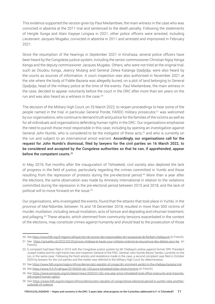This evidence supported the version given by Paul Mwilambwe, the main witness in the case who was convicted *in absentia* at the 2011 trial and sentenced to the death penalty. Following the statements of Hergile Ilunga and Alain Kayeye Longwa in 2021, other police officers were arrested, including Lieutenant Jacques Mugabo, convicted *in absentia* in 2011 and arrested and imprisoned in February 2021.

Since the resumption of the hearings in September 2021 in Kinshasa, several police officers have been heard by the Congolese justice system, including the senior commissioner Christian Ngoy Kenga Kenga and the deputy commissioner Jacques Mugabo. Others, who were not tried at the original trial, such as Doudou Ilunga, Jeancy Mulang and General Zelwa Katanga Djadjidja, were also heard by the courts as sources of information. A court inspection was also authorised in November 2021 at the site where the body of Fidèle Bazana was allegedly buried, on a plot of land belonging to General Djadjidja, head of the military police at the time of the events. Paul Mwilambwe, the main witness in the case, decided to appear voluntarily before the court in the DRC after more than ten years on the run and was also heard as a witness in the case.<sup>30</sup>

The decision of the Military High Court, on 25 March 2022, to reopen proceedings to hear some of the people named in the trial, in particular General Ponde, FARDC military prosecutor,<sup>31</sup> was welcomed by our organisations, who continue to demand truth and justice for the families of the victims as well as for all individuals and organisations defending human rights in the DRC. Our organisations emphasise the need to punish those most responsible in this case, including by opening an investigation against General John Numbi, who is considered to be the instigator of these acts,<sup>32</sup> and who is currently on the run and subject to an international arrest warrant. Accordingly, our organisations call for the request for John Numbi's dismissal, filed by lawyers for the civil parties on 16 March 2022, to be considered and accepted by the Congolese authorities so that he can, if apprehended, appear before the competent courts.<sup>33</sup>

In May 2019, five months after the inauguration of Tshisekedi, civil society also deplored the lack of progress in the field of justice, particularly regarding the crimes committed in Yumbi and those resulting from the repression of protests during the pre-electoral period.34 More than a year after the elections, the same observation was made by Amnesty International in relation to the violations committed during the repression in the pre-electoral period between 2015 and 2018, and the lack of political will to move forward on the issue.35

Our organisations, who investigated the events, found that the attacks that took place in Yumbi, in the province of Maï-Ndombe, between 16 and 18 December 2018, resulted in more than 500 victims of murder, mutilation, including sexual mutilation, acts of torture and degrading and inhuman treatment, and pillaging.36 These attacks, which stemmed from community tensions exacerbated in the context of the elections, may constitute crimes against humanity and should lead to the prosecution of those

34. See <https://www.rfi.fr/fr/afrique/20190505-rdc-100-jours-tshisekedi-bilan-droits-homme> (in French).

<sup>30.</sup> See <https://www.fidh.org/fr/regions/afrique/rdc/rdc-proces-des-responsables-de-l-assassinat-de-floribert-chebeya-et> (in French).

<sup>31.</sup> See <https://actualite.cd/2022/03/25/proces-chebeya-la-haute-cour-militaire-ordonne-la-reouverture-des-debats-pour-les>(in French).

<sup>32.</sup> A complaint had been filed in 2010 with the Congolese justice system by Mr Chebeya's widow against former DRC President Joseph Kabila and his right-hand man and Inspector General of the PNC, General John Numbi Banza Tambo, currently on the run, in the same case. Following the fresh arrests and revelations made in the case, a second complaint was filed in October 2020 by lawyers for the civil parties and the matter was referred to the Military High Court for determination.

<sup>33.</sup> See <https://www.fidh.org/en/region/Africa/democratic-republic-of-congo/drc-imminent-verdict-in-the-chebeya-bazana-trial>.

<sup>35.</sup> See [https://www.amnesty.org/en/latest/news/2020/01/drc-one-year-since-tshisekedi-took-office-insecurity-and-impunity](https://www.amnesty.org/en/latest/news/2020/01/drc-one-year-since-tshisekedi-took-office-insecurity-and-impunity-still-imperil-human-rights/)[still-imperil-human-rights/](https://www.amnesty.org/en/latest/news/2020/01/drc-one-year-since-tshisekedi-took-office-insecurity-and-impunity-still-imperil-human-rights/).

<sup>36.</sup> See [https://www.fidh.org/en/region/Africa/democratic-republic-of-congo/tense-electoral-period-in-yumbi-risks-another](https://www.fidh.org/en/region/Africa/democratic-republic-of-congo/tense-electoral-period-in-yumbi-risks-another-outbreak-of-violence)[outbreak-of-violence.](https://www.fidh.org/en/region/Africa/democratic-republic-of-congo/tense-electoral-period-in-yumbi-risks-another-outbreak-of-violence)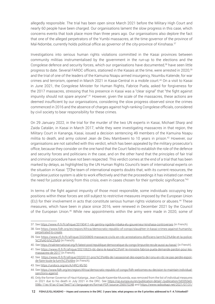allegedly responsible. The trial has been open since March 2021 before the Military High Court and nearly 60 people have been charged. Our organisations lament the slow progress in this case, which concerns events that took place more than three years ago. Our organisations also deplore the fact that one of the alleged perpetrators of the Yumbi massacres, at the time governor of the province of Maï-Ndombe, currently holds political office as governor of the city-province of Kinshasa.<sup>37</sup>

Investigations into serious human rights violations committed in the Kasai provinces between community militias instrumentalised by the government in the run-up to the elections and the Congolese defence and security forces, which our organisations have documented,<sup>38</sup> have seen little progress to date. Several FARDC officers, stationed in the Kasais at the time, were arrested in 2020,<sup>39</sup> and the trial of one of the leaders of the Kamuina Nsapu armed insurgency, Nsumbu Katende, for war crimes and terrorism, opened in March 2021 in Kasai-Central in a mobile court.40 On a visit to Kasai in June 2021, the Congolese Minister for Human Rights, Fabrice Puela, asked for forgiveness for the 2017 massacres, stressing that his presence in Kasai was a "clear signal" that "the fight against impunity should not spare anyone".<sup>41</sup> However, given the scale of the massacres, these actions are deemed insufficient by our organisations, considering the slow progress observed since the crimes commenced in 2016 and the absence of charges against high-ranking Congolese officials, considered by civil society to bear responsibility for these crimes.

On 29 January 2022, in the trial for the murder of the two UN experts in Kasai, Michael Sharp and Zaida Catalán, in Kasai in March 2017, while they were investigating massacres in that region, the Military Court in Kananga, Kasai, issued a decision sentencing 49 members of the Kamuina Nsapu militia to death, and army colonel Jean de Dieu Mambweni to 10 years in prison.<sup>42</sup> However, our organisations are not satisfied with this verdict, which has been appealed by the military prosecutor's office, because they consider on the one hand that the Court failed to establish the role of the defence and security forces and politicians in the case, and on the other hand that the principles of fair trial and criminal procedure have not been respected. This verdict comes at the end of a trial that has been marked by delays, as highlighted by the UN Human Rights Council's team of international experts on the situation in Kasai: "[T]he team of international experts doubts that, with its current resources, the Congolese justice system is able to work effectively and that the proceedings it has initiated can meet the need for justice arising from this crisis, even in cases chosen for their symbolic significance."<sup>43</sup>

In terms of the fight against impunity of those most responsible, some individuals occupying key positions within these forces are still subject to restrictive measures imposed by the European Union (EU) for their involvement in acts that constitute serious human rights violations or abuses.44 These measures, which have been in place since 2016, were renewed in December 2021 by the Council of the European Union.45 While new appointments within the army were made in 2020, some of

<sup>37.</sup> See <https://www.rfi.fr/fr/afrique/20190411-rdc-gentiny-ngobila-mbaka-elu-gouverneur-kinshasa-controverses> (in French).

<sup>38.</sup> See [https://www.fidh.org/en/region/Africa/democratic-republic-of-congo/slaughter-in-kasai-crimes-against-humanity](https://www.fidh.org/en/region/Africa/democratic-republic-of-congo/slaughter-in-kasai-crimes-against-humanity-perpetrated-to-create)[perpetrated-to-create](https://www.fidh.org/en/region/Africa/democratic-republic-of-congo/slaughter-in-kasai-crimes-against-humanity-perpetrated-to-create).

<sup>39.</sup> See [https://www.rfi.fr/fr/afrique/20200809-massacre-civils-en-rdc-arrestations-dofficiers-larm%C3%A9e-et-la-police-](https://www.rfi.fr/fr/afrique/20200809-massacre-civils-en-rdc-arrestations-dofficiers-larm%C3%A9e-et-la-police-%C3%A0-b%C3%A9) [%C3%A0-b%C3%A9](https://www.rfi.fr/fr/afrique/20200809-massacre-civils-en-rdc-arrestations-dofficiers-larm%C3%A9e-et-la-police-%C3%A0-b%C3%A9) (in French).

<sup>40.</sup> See <https://trialinternational.org/fr/latest-post/republique-democratique-du-congo-limpunite-recule-aussi-au-kasai/> (in French).

<sup>41.</sup> See [https://www.rfi.fr/fr/afrique/20210623-rdc-dans-le-kasa%C3%AF-le-ministre-fabrice-puela-demande-pardon-pour-les](https://www.rfi.fr/fr/afrique/20210623-rdc-dans-le-kasa%C3%AF-le-ministre-fabrice-puela-demande-pardon-pour-les-massacres-de-2017)[massacres-de-2017](https://www.rfi.fr/fr/afrique/20210623-rdc-dans-le-kasa%C3%AF-le-ministre-fabrice-puela-demande-pardon-pour-les-massacres-de-2017) (in French).

<sup>42.</sup> See [https://www.rfi.fr/fr/afrique/20220131-proc%C3%A8s-de-l-assassinat-des-experts-de-l-onu-en-rdc-ne-pas-perdre-espoir](https://www.rfi.fr/fr/afrique/20220131-proc%C3%A8s-de-l-assassinat-des-experts-de-l-onu-en-rdc-ne-pas-perdre-espoir-de-faire-toute-la-lumi%C3%A8re)[de-faire-toute-la-lumi%C3%A8re](https://www.rfi.fr/fr/afrique/20220131-proc%C3%A8s-de-l-assassinat-des-experts-de-l-onu-en-rdc-ne-pas-perdre-espoir-de-faire-toute-la-lumi%C3%A8re) (in French).

<sup>43.</sup> See <https://undocs.org/en/A/HRC/45/50>.

<sup>44.</sup> See [https://www.fidh.org/en/region/Africa/democratic-republic-of-congo/fidh-welcomes-eu-decision-to-maintain-individual](https://www.fidh.org/en/region/Africa/democratic-republic-of-congo/fidh-welcomes-eu-decision-to-maintain-individual-sanctions-against)[sanctions-against.](https://www.fidh.org/en/region/Africa/democratic-republic-of-congo/fidh-welcomes-eu-decision-to-maintain-individual-sanctions-against)

<sup>45.</sup> Only the former Governor of Haut-Katanga, Jean-Claude Kazembe Musonda, was removed from the list of individual measures in 2021 due to his death in July 2021 in the DRC. See [https://op.europa.eu/en/publication-detail/-/publication/3d3353e0-](https://op.europa.eu/en/publication-detail/-/publication/3d3353e0-598c-11ec-91ac-01aa75ed71a1/language-en/format-PDF/source-256570248) [598c-11ec-91ac-01aa75ed71a1/language-en/format-PDF/source-256570248](https://op.europa.eu/en/publication-detail/-/publication/3d3353e0-598c-11ec-91ac-01aa75ed71a1/language-en/format-PDF/source-256570248) and [https://www.radiookapi.net/2021/07/31/](https://www.radiookapi.net/2021/07/31/actualite/politique/haut-katanga-lancien-gouverneur-jean-claude-kazembe-est-decede)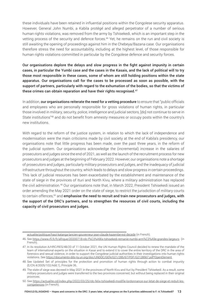these individuals have been retained in influential positions within the Congolese security apparatus. However, General John Numbi, a Kabila protégé and alleged perpetrator of a number of serious human rights violations, was removed from the army by Tshisekedi, which is an important step in the vetting process of the security and defence forces.<sup>46</sup> Yet, he remains on the run and civil society is still awaiting the opening of proceedings against him in the Chebeya/Bazana case. Our organisations therefore stress the need for accountability, including at the highest level, of those responsible for human rights violations committed in particular by the Congolese defence and security forces.

Our organisations deplore the delays and slow progress in the fight against impunity in certain cases, in particular the Yumbi case and the cases in the Kasais, and the lack of political will to try those most responsible in these cases, some of whom are still holding positions within the state apparatus. Our organisations call for the cases to be processed as soon as possible, with the support of partners, particularly with regard to the exhumation of the bodies, so that the victims of these crimes can obtain reparation and have their rights recognised.<sup>47</sup>

In addition, our organisations reiterate the need for a vetting procedure to ensure that "public officials" and employees who are personally responsible for gross violations of human rights, in particular those involved in military, security, police, intelligence and judicial sectors, [do] not continue to serve in State institutions"48 and do not benefit from amnesty measures or occupy posts within the country's new institutions.

With regard to the reform of the justice system, in relation to which the lack of independence and modernisation were the main criticisms made by civil society at the end of Kabila's presidency, our organisations note that little progress has been made, over the past three years, in the reform of the judicial system. Our organisations acknowledge the (incremental) increase in the salaries of prosecutors and judges since the end of 2021, as well as the launch of the recruitment process for new prosecutors and judges at the beginning of February 2022. However, our organisations note a shortage of prosecutors and judges, particularly military prosecutors and judges, and the inadequacy of judicial infrastructure throughout the country, which leads to delays and slow progress in certain proceedings. This lack of judicial resources has been exacerbated by the establishment and maintenance of the state of siege in the provinces of Ituri and North Kivu, where a military administration has replaced the civil administration.49 Our organisations note that, in March 2022, President Tshisekedi issued an order amending the May 2021 order on the state of siege, to restrict the jurisdiction of military courts to certain offences,<sup>50</sup> and **emphasise the need to recruit and train new prosecutors and judges, with** the support of the DRC's partners, and to strengthen the resources of civil courts, including the capacity of civil prosecutors and judges.

[actualite/politique/haut-katanga-lancien-gouverneur-jean-claude-kazembe-est-decede](https://www.radiookapi.net/2021/07/31/actualite/politique/haut-katanga-lancien-gouverneur-jean-claude-kazembe-est-decede) (in French).

<sup>46.</sup> See <https://www.rfi.fr/fr/afrique/20200718-rdc-f%C3%A9lix-tshisekedi-remanie-numbi-arm%C3%A9e-grandes-largeurs> (in French).

<sup>47.</sup> In its resolution A/HRC/RES/48/20 of 11 October 2021, the UN Human Rights Council decided to renew the mandate of the team of international experts on the situation in Kasai and to extend it to cover the entire territory of the DRC in the area of forensics and sexual violence, in order to support the Congolese judicial authorities in their investigations into human rights violations. See <https://documents-dds-ny.un.org/doc/UNDOC/GEN/G21/285/67/PDF/G2128567.pdf?OpenElement>.

<sup>48.</sup> See Updated Set of principles for the protection and promotion of human rights through action to combat impunity (E/CN.4/2005/102/Add.1), Principle 36.

<sup>49.</sup> The state of siege was decreed in May 2021 in the provinces of North Kivu and Ituri by President Tshisekedi. As a result, some military prosecutors and judges were transferred to the two provinces concerned, but without being replaced in their original provinces.

<sup>50.</sup> See [https://actualite.cd/index.php/2022/03/25/rdc-felix-tshisekedi-modifie-lordonnance-sur-letat-de-siege-et-reduit-les](https://actualite.cd/index.php/2022/03/25/rdc-felix-tshisekedi-modifie-lordonnance-sur-letat-de-siege-et-reduit-les-competences)[competences](https://actualite.cd/index.php/2022/03/25/rdc-felix-tshisekedi-modifie-lordonnance-sur-letat-de-siege-et-reduit-les-competences) (in French).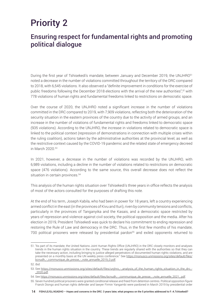## Priority 2

## Ensuring respect for fundamental rights and promoting political dialogue

During the first year of Tshisekedi's mandate, between January and December 2019, the UNJHRO<sup>51</sup> noted a decrease in the number of violations committed throughout the territory of the DRC compared to 2018, with 6,545 violations. It also observed a "definite improvement in conditions for the exercise of public freedoms following the December 2018 elections with the arrival of the new authorities",*<sup>52</sup>* with 778 violations of human rights and fundamental freedoms linked to restrictions on democratic space.

Over the course of 2020, the UNJHRO noted a significant increase in the number of violations committed in the DRC compared to 2019, with 7,909 violations, reflecting both the deterioration of the security situation in the eastern provinces of the country due to the activity of armed groups, and an increase in the number of violations of fundamental rights and freedoms linked to democratic space (935 violations). According to the UNJHRO, the increase in violations related to democratic space is linked to the political context (repression of demonstrations in connection with multiple crises within the ruling coalition), actions taken by the administrative authorities at the provincial level, as well as the restrictive context caused by the COVID-19 pandemic and the related state of emergency decreed in March 2020.53

In 2021, however, a decrease in the number of violations was recorded by the UNJHRO, with 6,989 violations, including a decline in the number of violations related to restrictions on democratic space (476 violations). According to the same source, this overall decrease does not reflect the situation in certain provinces.<sup>54</sup>

This analysis of the human rights situation over Tshisekedi's three years in office reflects the analysis of most of the actors consulted for the purposes of drafting this note.

At the end of his term, Joseph Kabila, who had been in power for 18 years, left a country experiencing armed conflict in the east (in the provinces of Kivu and Ituri), riven by community tensions and conflicts, particularly in the provinces of Tanganyika and the Kasais, and a democratic space restricted by years of repression and violence against civil society, the political opposition and the media. After his election in 2019, President Tshisekedi was quick to declare his commitment to ending repression and restoring the Rule of Law and democracy in the DRC. Thus, in the first few months of his mandate, 700 political prisoners were released by presidential pardon<sup>55</sup> and exiled opponents returned to

<sup>51. &</sup>quot;As part of its mandate, the United Nations Joint Human Rights Office (UNJHRO) in the DRC closely monitors and analyses trends in the human rights situation in the country. These trends are regularly shared with the authorities so that they can take the necessary action, including bringing to justice alleged perpetrators of documented human rights violations, and are presented on a monthly basis at the UN weekly press conference." See [https://monusco.unmissions.org/sites/default/files/](https://monusco.unmissions.org/sites/default/files/bcnudh_-_communique_de_presse_-_note_annuelle_2019_0.pdf) bcnudh -\_communique\_de\_presse\_-\_note\_annuelle\_2019\_0.pdf.

<sup>52.</sup> *Ibid.*

<sup>53.</sup> See [https://monusco.unmissions.org/sites/default/files/unjhro\\_-\\_analysis\\_of\\_the\\_human\\_rights\\_situation\\_in\\_the\\_drc\\_-](https://monusco.unmissions.org/sites/default/files/unjhro_-_analysis_of_the_human_rights_situation_in_the_drc_-_2020.pdf) [\\_2020.pdf](https://monusco.unmissions.org/sites/default/files/unjhro_-_analysis_of_the_human_rights_situation_in_the_drc_-_2020.pdf).

<sup>54.</sup> See [https://monusco.unmissions.org/sites/default/files/bcnudh\\_-\\_communique\\_de\\_presse\\_-\\_note\\_annuelle\\_2021\\_.pdf](https://monusco.unmissions.org/sites/default/files/bcnudh_-_communique_de_presse_-_note_annuelle_2021_.pdf).

<sup>55.</sup> Seven hundred political prisoners were granted conditional release and freed from detention centres. Political opposition figure Franck Diongo and human rights defender and lawyer Firmin Yangambi were pardoned in March 2019 by presidential order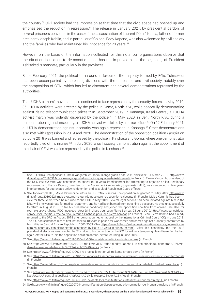the country.56 Civil society had the impression at that time that the civic space had opened up and emphasised the reduction in repression.<sup>57</sup> The release in January 2021, by presidential pardon, of several prisoners convicted in the case of the assassination of Laurent-Désiré Kabila, father of former president Joseph Kabila, and in particular of Colonel Eddy Kapend, was also welcomed by civil society and the families who had maintained his innocence for 20 years.<sup>58</sup>

However, on the basis of the information collected for this note, our organisations observe that the situation in relation to democratic space has not improved since the beginning of President Tshisekedi's mandate, particularly in the provinces.

Since February 2021, the political turnaround in favour of the majority formed by Félix Tshisekedi has been accompanied by increasing divisions with the opposition and civil society, notably over the composition of CENI, which has led to discontent and several demonstrations repressed by the authorities.

The LUCHA citizens' movement also continued to face repression by the security forces. In May 2019, 36 LUCHA activists were arrested by the police in Goma, North Kivu, while peacefully demonstrating against rising telecommunication prices.59 In September 2019, in Kananga, Kasai-Central, a LUCHA activist march was violently dispersed by the police.<sup>60</sup> In May 2020, in Beni, North Kivu, during a demonstration against insecurity, a LUCHA activist was killed by a police officer.<sup>61</sup> On 12 February 2021, a LUCHA demonstration against insecurity was again repressed in Kananga.<sup>62</sup> Other demonstrations also met with repression in 2019 and 2020. The demonstration of the opposition coalition *Lamuka* on 30 June 2019 was banned and repressed by the police in Kinshasa and Goma, where one demonstrator reportedly died of his injuries.<sup>63</sup> In July 2020, a civil society demonstration against the appointment of the chair of CENI was also repressed by the police in Kinshasa.<sup>64</sup>

See RFI, "RDC : les opposants Firmin Yangambi et Franck Diongo graciés par Félix Tshisekedi", 14 March 2019, [http://www.](http://www.rfi.fr/afrique/20190314-rdc-firmin-yangambi-franck-diongo-gracies-felix-tshisekedi) [rfi.fr/afrique/20190314-rdc-firmin-yangambi-franck-diongo-gracies-felix-tshisekedi](http://www.rfi.fr/afrique/20190314-rdc-firmin-yangambi-franck-diongo-gracies-felix-tshisekedi) (in French). Firmin Yangambi, president of the NGO *Paix sur terre*, was sentenced on appeal to 20 years' imprisonment for attempting to organise an insurrectionary movement, and Franck Diongo, president of the *Mouvement lumumbiste progressiste* (MLP), was sentenced to five years' imprisonment for aggravated unlawful detention and assault of Republican Guard officers.

<sup>56.</sup> See, for example RFI, "Moïse Katumbi de retour en RDC : 'Nous serons une opposition exigeante'", 21 May 2019, [http://www.](http://www.rfi.fr/afrique/20190521-moise-katumbi-retour-rdc-nous-serons-opposition-exigeante) [rfi.fr/afrique/20190521-moise-katumbi-retour-rdc-nous-serons-opposition-exigeante](http://www.rfi.fr/afrique/20190521-moise-katumbi-retour-rdc-nous-serons-opposition-exigeante) (in French). Moïse Katumbi had been in exile for three years when he returned to the DRC in May 2019. Several legal actions had been initiated against him in the DRC while he was abroad for medical treatment, and he had been banned from obtaining a passport. He tried unsuccessfully to return in August 2018 to file his presidential candidacy and joined the opposition coalition from abroad. See also, for example *Jeune Afrique*, "RDC : nouveau retour à Kinshasa pour Jean-Pierre Bemba", 23 June 2019, [https://www.jeuneafrique.](https://www.jeuneafrique.com/792790/politique/rdc-nouveau-retour-a-kinshasa-pour-jean-pierre-bemba/) [com/792790/politique/rdc-nouveau-retour-a-kinshasa-pour-jean-pierre-bemba/](https://www.jeuneafrique.com/792790/politique/rdc-nouveau-retour-a-kinshasa-pour-jean-pierre-bemba/) (in French). Jean-Pierre Bemba had already returned to the DRC in August 2018 after being acquitted on appeal by the International Criminal Court (ICC) in June 2018. The ICC had sentenced him at first instance to 18 years in prison for war crimes and crimes against humanity committed by his militia in Central African Republic in 2002-2003. (See [https://www.fidh.org/en/issues/international-justice/international](https://www.fidh.org/en/issues/international-justice/international-criminal-court-icc/jean-pierre-bemba-sentenced-by-icc-to-18-years-in-prison-for-rape)[criminal-court-icc/jean-pierre-bemba-sentenced-by-icc-to-18-years-in-prison-for-rape\)](https://www.fidh.org/en/issues/international-justice/international-criminal-court-icc/jean-pierre-bemba-sentenced-by-icc-to-18-years-in-prison-for-rape). After his candidacy for the 2018 presidential elections was rejected by CENI due to his conviction by the ICC for witness tampering, Jean-Pierre Bemba had again left the DRC to join the opposition coalition abroad, before returning in June 2019.

<sup>57.</sup> See <https://www.rfi.fr/fr/afrique/20190505-rdc-100-jours-tshisekedi-bilan-droits-homme> (in French).

<sup>58.</sup> See [https://www.rfi.fr/fr/en-bref/20210108-rdc-lib%C3%A9ration-d-eddy-kapend-l-un-des-principaux-condamn%C3%A9s](https://www.rfi.fr/fr/en-bref/20210108-rdc-lib%C3%A9ration-d-eddy-kapend-l-un-des-principaux-condamn%C3%A9s-dans-l-assassinat-de-laurent-d%C3%A9sir%C3%A9-kabila)[dans-l-assassinat-de-laurent-d%C3%A9sir%C3%A9-kabila](https://www.rfi.fr/fr/en-bref/20210108-rdc-lib%C3%A9ration-d-eddy-kapend-l-un-des-principaux-condamn%C3%A9s-dans-l-assassinat-de-laurent-d%C3%A9sir%C3%A9-kabila) (in French).

<sup>59.</sup> See <https://www.rfi.fr/fr/afrique/20190921-rdc-lucha-liberation-36-militants-arretes-goma> (in French).

<sup>60.</sup> See <https://www.rfi.fr/fr/afrique/20190910-rdc-kananga-kasai-central-marche-lucha-reprimee-mouvement-citoyen-territoriale> (in French).

<sup>61.</sup> See <https://www.fidh.org/fr/themes/defenseurs-des-droits-humains/rdc-meurtre-du-militant-de-la-lucha-freddy-kambale> (in French).

<sup>62.</sup> See [https://www.rfi.fr/fr/afrique/20210214-rdc-face-%C3%A0-la-mont%C3%A9e-de-l-ins%C3%A9curit%C3%A9-au](https://www.rfi.fr/fr/afrique/20210214-rdc-face-%C3%A0-la-mont%C3%A9e-de-l-ins%C3%A9curit%C3%A9-au-kasa%C3%AF-central-la-soci%C3%A9t%C3%A9-civile-exasp%C3%A9r%C3%A9e)[kasa%C3%AF-central-la-soci%C3%A9t%C3%A9-civile-exasp%C3%A9r%C3%A9e](https://www.rfi.fr/fr/afrique/20210214-rdc-face-%C3%A0-la-mont%C3%A9e-de-l-ins%C3%A9curit%C3%A9-au-kasa%C3%AF-central-la-soci%C3%A9t%C3%A9-civile-exasp%C3%A9r%C3%A9e) (in French).

<sup>63.</sup> See <https://www.rfi.fr/fr/afrique/20190630-rdc-incidents-lors-manifestations-interdites-autour-martin-fayulu> (in French).

<sup>64.</sup> See <https://www.rfi.fr/fr/afrique/20200704-rdc-manifestation-dispersee-contre-la-nomination-ceni-ronsard-malonda> (in French).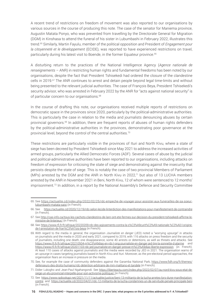A recent trend of restrictions on freedom of movement was also reported to our organisations by various sources in the course of producing this note. The case of the senator for Maniema province, Augustin Matata Ponyo, who was prevented from travelling by the Directorate General for Migration (DGM) in Kinshasa to attend the funeral of his sister in Lubumbashi in February 2022, illustrates this trend.65 Similarly, Martin Fayulu, member of the political opposition and President of *Engagement pour la citoyenneté et le développement* (ECIDE), was reported to have experienced restrictions on travel, particularly during his latest visit to Boende, in the former Equateur province.<sup>66</sup>

A disturbing return to the practices of the National Intelligence Agency (*Agence nationale de renseignements* – ANR) in restricting human rights and fundamental freedoms has been noted by our organisations, despite the fact that President Tshisekedi had ordered the closure of the clandestine cells in 2019.<sup>67</sup> The ANR continues to arrest and detain people beyond legal time-limits and without being presented to the relevant judicial authorities. The case of François Beya, President Tshisekedi's security advisor, who was arrested in February 2022 by the ANR for "acts against national security" is of particular concern to our organisations.<sup>68</sup>

In the course of drafting this note, our organisations received multiple reports of restrictions on democratic space in the provinces since 2020, particularly by the political-administrative authorities. This is particularly the case in relation to the media and journalists denouncing abuses by certain provincial governors.<sup>69</sup> In addition, there are frequent reports of abuses of human rights defenders by the political-administrative authorities in the provinces, demonstrating poor governance at the provincial level, beyond the control of the central authorities.<sup>70</sup>

These restrictions are particularly visible in the provinces of Ituri and North Kivu, where a state of siege has been decreed by President Tshisekedi since May 2021 to address the increased activities of armed groups, particularly the Allied Democratic Forces (ADF). Several cases of abuse by the judicial and political-administrative authorities have been reported to our organisations, including attacks on freedom of expression for criticising the state of siege and demonstrating against the insecurity that persists despite the state of siege. This is notably the case of two provincial Members of Parliament (MPs) arrested by the DGM and the ANR in North Kivu in 2022,71 but also of 13 LUCHA members arrested by the ANR in November 2021 in Beni, North Kivu, 12 of whom were sentenced to 12 months' imprisonment.<sup>72</sup> In addition, in a report by the National Assembly's Defence and Security Committee

70. See, for example the case of community defenders against the Garamba National Park, [https://www.fidh.org/fr/themes/](https://www.fidh.org/fr/themes/defenseurs-des-droits-humains/rdc-detention-arbitraire-de-mm-malitano-et-tandele) [defenseurs-des-droits-humains/rdc-detention-arbitraire-de-mm-malitano-et-tandele](https://www.fidh.org/fr/themes/defenseurs-des-droits-humains/rdc-detention-arbitraire-de-mm-malitano-et-tandele) (in French).

<sup>65.</sup> See [https://actualite.cd/index.php/2022/02/25/rdc-empeche-de-voyager-pour-assister-aux-funerailles-de-sa-soeur](https://actualite.cd/index.php/2022/02/25/rdc-empeche-de-voyager-pour-assister-aux-funerailles-de-sa-soeur-lubumbashi-matata-saisi)[lubumbashi-matata-saisi](https://actualite.cd/index.php/2022/02/25/rdc-empeche-de-voyager-pour-assister-aux-funerailles-de-sa-soeur-lubumbashi-matata-saisi) (in French).

<sup>66.</sup> See <https://actualite.cd/2020/12/19/rdc-selon-lecide-linterdiction-des-manifestations-pour-manifestement-de-contraindre> (in French).

<sup>67.</sup> See [http://cas-info.ca/tous-les-cachots-clandestins-de-lanr-ont-ete-fermes-sur-decision-du-president-tshisekedi-affirme-le](http://cas-info.ca/tous-les-cachots-clandestins-de-lanr-ont-ete-fermes-sur-decision-du-president-tshisekedi-affirme-le-ministre-de-linterieur/)[ministre-de-linterieur/](http://cas-info.ca/tous-les-cachots-clandestins-de-lanr-ont-ete-fermes-sur-decision-du-president-tshisekedi-affirme-le-ministre-de-linterieur/) (in French).

<sup>68.</sup> See [https://www.rfi.fr/fr/afrique/20220209-rdc-des-agissements-contra-la-s%C3%A9curit%C3%A9-nationale-%C3%A0-l-origine](https://www.rfi.fr/fr/afrique/20220209-rdc-des-agissements-contra-la-s%C3%A9curit%C3%A9-nationale-%C3%A0-l-origine-de-l-arrestation-de-fran%C3%A7ois-beya)[de-l-arrestation-de-fran%C3%A7ois-beya](https://www.rfi.fr/fr/afrique/20220209-rdc-des-agissements-contra-la-s%C3%A9curit%C3%A9-nationale-%C3%A0-l-origine-de-l-arrestation-de-fran%C3%A7ois-beya) (in French).

<sup>69.</sup> With regard to the media in general, the organisation *Journaliste en danger* (JED) noted a "worrying upsurge" in attacks on journalists and the media in 2020 and early 2021, compared to 2019, with 116 attacks on press freedom and the security of journalists, including one death, one disappearance, some 40 arrests or detentions, as well as threats and attacks. See <https://www.rfi.fr/fr/afrique/20210504-m%C3%A9dias-en-rdc-l-ong-journaliste-en-danger-jed-tire-la-sonnette-d-alarme> and <https://www.rfi.fr/fr/afrique/20201103-rdc-jed-journaliste-en-danger-presse-m%C3%A9dias-liberte-expression> (in French). At least 110 cases of attacks against journalists and the media were recorded by JED in 2021. The organisation warns of an upsurge in cases targeting journalists based in North Kivu and Ituri. Moreover, as the pre-electoral period approaches, the organisation fears an increase in pressure on the media.

<sup>71.</sup> Didier Lukogho and Jean-Paul Ngahangondi. See [https://liberteactu.com/index.php/2022/02/07/au-nord-kivu-sous-etat-de](https://liberteactu.com/index.php/2022/02/07/au-nord-kivu-sous-etat-de-siege-un-elu-provincial-interpelle-pour-son-activisme-politique/)[siege-un-elu-provincial-interpelle-pour-son-activisme-politique/](https://liberteactu.com/index.php/2022/02/07/au-nord-kivu-sous-etat-de-siege-un-elu-provincial-interpelle-pour-son-activisme-politique/) (in French).

<sup>72.</sup> See [https://www.radiookapi.net/2021/11/11/actualite/justice/beni-13-militants-de-la-lucha-arretes-lors-dune-manifestation](https://www.radiookapi.net/2021/11/11/actualite/justice/beni-13-militants-de-la-lucha-arretes-lors-dune-manifestation-contre)[contre](https://www.radiookapi.net/2021/11/11/actualite/justice/beni-13-militants-de-la-lucha-arretes-lors-dune-manifestation-contre) and <https://actualite.cd/2022/04/01/rdc-12-militants-de-la-lucha-condamnes-un-de-servitude-penale-principale-beni> (in French).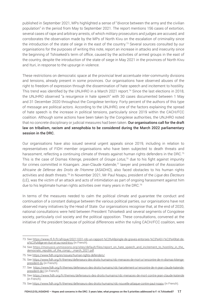published in September 2021, MPs highlighted a sense of "divorce between the army and the civilian population" in the period from May to September 2021. The report mentions 156 cases of extortion, several cases of rape and arbitrary arrests, of which military prosecutors and judges are accused, and corroborates the observation made by the MPs of North Kivu on the escalation of criminality since the introduction of the state of siege in the east of the country.73 Several sources consulted by our organisations for the purposes of writing this note, report an increase in attacks and insecurity since the beginning of Tshisekedi's term of office, caused by the activities of armed groups in the east of the country, despite the introduction of the state of siege in May 2021 in the provinces of North Kivu and Ituri, in response to the upsurge in violence.

These restrictions on democratic space at the provincial level accentuate inter-community divisions and tensions, already present in some provinces. Our organisations have observed abuses of the right to freedom of expression through the dissemination of hate speech and incitement to hostility. This trend was identified by the UNJHRO in a March 2021 report.<sup>74</sup> Since the last elections in 2018, the UNJHRO observed "a resurgence in hate speech" with 30 cases documented between 1 May and 31 December 2020 throughout the Congolese territory. Forty percent of the authors of this type of message are political actors. According to the UNJHRO, one of the factors explaining the spread of hate speech is the increase in political tensions, particularly since 2019 within the CACH/FCC coalition. Although some actions have been taken by the Congolese authorities, the UNJHRO noted that no concrete disciplinary or judicial measures had been taken. Our organisations call for the draft law on tribalism, racism and xenophobia to be considered during the March 2022 parliamentary session in the DRC.

Our organisations have also issued several urgent appeals since 2019, including in relation to representatives of FIDH member organisations who have been subjected to death threats and harassment, reflecting a continuing climate of threats against human rights defenders in the DRC.<sup>75</sup> This is the case of Dismas Kitenge, president of *Groupe Lotus*, <sup>76</sup> due to his fight against impunity for crimes committed in Kisangani. Jean-Claude Katende,77 lawyer and president of the *Association Africaine de Défense des Droits de l'Homme* (ASADHO), also faced obstacles to his human rights activities and death threats.78 In November 2021, Mr Paul Nsapu, president of the *Ligue des Électeurs* (LE), was the victim of an attack and acts of intimidation as part of ongoing harassment against him due to his legitimate human rights activities over many years in the DRC.<sup>79</sup>

In terms of the measures needed to calm the political climate and guarantee the conduct and continuation of a constant dialogue between the various political parties, our organisations have not observed many initiatives by the Head of State. Our organisations recognise that, at the end of 2020, national consultations were held between President Tshisekedi and several segments of Congolese society, particularly civil society and the political opposition. These consultations, convened at the initiative of the president because of political differences within the ruling CACH/FCC coalition, were

<sup>73.</sup> See [https://www.rfi.fr/fr/afrique/20211031-rdc-un-rapport-%C3%A9pingle-de-graves-entorses-%C3%A0-l-%C3%A9tat-de](https://www.rfi.fr/fr/afrique/20211031-rdc-un-rapport-%C3%A9pingle-de-graves-entorses-%C3%A0-l-%C3%A9tat-de-si%C3%A8ge-en-ituri-et-au-nord-kivu)[si%C3%A8ge-en-ituri-et-au-nord-kivu](https://www.rfi.fr/fr/afrique/20211031-rdc-un-rapport-%C3%A9pingle-de-graves-entorses-%C3%A0-l-%C3%A9tat-de-si%C3%A8ge-en-ituri-et-au-nord-kivu) (in French).

<sup>74.</sup> See [https://monusco.unmissions.org/sites/default/files/report\\_on\\_hate\\_speech\\_and\\_incitement\\_to\\_hostility\\_in\\_the\\_](https://monusco.unmissions.org/sites/default/files/report_on_hate_speech_and_incitement_to_hostility_in_the_democratic_republic_of_the_congo_-_march_2021.pdf) [democratic\\_republic\\_of\\_the\\_congo\\_-\\_march\\_2021.pdf](https://monusco.unmissions.org/sites/default/files/report_on_hate_speech_and_incitement_to_hostility_in_the_democratic_republic_of_the_congo_-_march_2021.pdf).

<sup>75.</sup> See <https://www.fidh.org/en/issues/human-rights-defenders/>.

<sup>76.</sup> See [https://www.fidh.org/fr/themes/defenseurs-des-droits-humains/rdc-menaces-de-mort-a-l-encontre-de-m-dismas-kitenge](https://www.fidh.org/fr/themes/defenseurs-des-droits-humains/rdc-menaces-de-mort-a-l-encontre-de-m-dismas-kitenge-president-du)[president-du](https://www.fidh.org/fr/themes/defenseurs-des-droits-humains/rdc-menaces-de-mort-a-l-encontre-de-m-dismas-kitenge-president-du) (in French).

<sup>77.</sup> See [https://www.fidh.org/fr/themes/defenseurs-des-droits-humains/rdc-harcelement-a-l-encontre-de-m-jean-claude-katende](https://www.fidh.org/fr/themes/defenseurs-des-droits-humains/rdc-harcelement-a-l-encontre-de-m-jean-claude-katende-president-de-l)[president-de-l](https://www.fidh.org/fr/themes/defenseurs-des-droits-humains/rdc-harcelement-a-l-encontre-de-m-jean-claude-katende-president-de-l) (in French).

<sup>78.</sup> See [https://www.fidh.org/fr/themes/defenseurs-des-droits-humains/rdc-menaces-de-mort-contre-jean-claude-katende](https://www.fidh.org/fr/themes/defenseurs-des-droits-humains/rdc-menaces-de-mort-contre-jean-claude-katenge) (in French).

<sup>79.</sup> See <https://www.fidh.org/fr/themes/defenseurs-des-droits-humains/rdc-nouvelle-attaque-contre-paul-nsapu> (in French).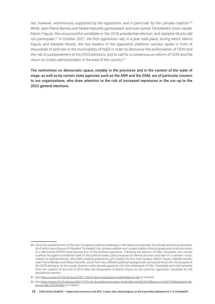not, however, unanimously supported by the opposition, and in particular by the *Lamuka* coalition.80 While Jean-Pierre Bemba and Moïse Katumbi participated, and even joined Tshisekedi's *Union sacrée*, Martin Fayulu, the unsuccessful candidate in the 2018 presidential election, and Adolphe Muzito did not participate.<sup>81</sup> In October 2021, the first opposition rally in a year took place, during which Martin Fayulu and Adolphe Muzito, the two leaders of the opposition platform *Lamuka*, spoke in front of thousands of activists in the municipality of Ndjili in order to denounce the politicisation of CENI and the risk of postponement of the 2023 elections, and to call for a consensus on reform of CENI and the return to civilian administration in the east of the country.<sup>82</sup>

The restrictions on democratic space, notably in the provinces and in the context of the state of siege, as well as by certain state agencies such as the ANR and the DGM, are of particular concern to our organisations, who draw attention to the risk of increased repression in the run-up to the 2023 general elections.

<sup>80.</sup> Since the establishment of the new Congolese political landscape in the National Assembly, the Senate and the government, all of which are in favour of President Tshisekedi, the *Lamuka* coalition and Joseph Kabila's *Parti du peuple pour la reconstruction et la démocratie* (PPRD) have become part of the political opposition. Following the election of Félix Tshisekedi, the *Lamuka*  coalition struggled to establish itself on the political scene, partly because of internal divisions and lack of a common vision. Indeed, its representatives, who held a rotating presidency, and notably the four main leaders, Martin Fayulu, Adolphe Muzito, Jean-Pierre Bemba and Moïse Katumbi, come from very different political backgrounds and joined forces for the purpose of the 2018 elections. At the outset, divisions were already apparent, with the withdrawal of Félix Tshisekedi and Vital Kamerhe from the coalition at the end of 2018 after the designation of Martin Fayulu as the common opposition candidate for the presidential election.

<sup>81.</sup> See <https://www.rfi.fr/fr/afrique/20201126-fin-des-consultations-nationales-en-rdc> (in French).

<sup>82.</sup> See [https://www.rfi.fr/fr/afrique/20211010-rdc-la-coalition-lamuka-s-invite-dans-le-d%C3%A9bat-sur-la-d%C3%A9signation-de](https://www.rfi.fr/fr/afrique/20211010-rdc-la-coalition-lamuka-s-invite-dans-le-d%C3%A9bat-sur-la-d%C3%A9signation-de-la-nouvelle-c%C3%A9ni)[la-nouvelle-c%C3%A9ni](https://www.rfi.fr/fr/afrique/20211010-rdc-la-coalition-lamuka-s-invite-dans-le-d%C3%A9bat-sur-la-d%C3%A9signation-de-la-nouvelle-c%C3%A9ni) (in French).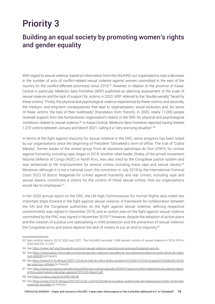## Priority 3

## Building an equal society by promoting women's rights and gender equality

With regard to sexual violence, based on information from the UNJHRO, our organisations note a decrease in the number of acts of conflict-related sexual violence against women committed in the east of the country (in the conflict-affected provinces) since 2019.<sup>83</sup> However, in relation to the province of Kasai-Central in particular, *Médecins Sans Frontières* (MSF) published an alarming assessment of the scale of sexual violence and the lack of support for victims in 2020. MSF referred to the "double penalty" faced by these victims: "Firstly, the physical and psychological violence experienced by these victims, and secondly, the medium- and long-term consequences that lead to stigmatisation, social exclusion and, for some of these victims, the loss of their livelihoods" (translation from French). In 2020, nearly 11,000 people received support from the humanitarian organisation's teams in the DRC for physical and psychological conditions related to sexual violence.84 In Kasai-Central, *Médecins Sans Frontières* reported having treated 1,373 victims between January and March 2021, calling it a "very worrying situation".85

In terms of the fight against impunity for sexual violence in the DRC, some progress has been noted by our organisations since the beginning of President Tshisekedi's term of office. The trial of "Cobra Matata", former leader of the armed group *Front de résistance patriotique de l'Ituri* (FRPI), for crimes against humanity, including rape, began in 2019. Another rebel leader, Sheka, of the armed movement Nduma Defence of Congo (NDC) in North Kivu, was also tried by the Congolese justice system and was sentenced to life imprisonment for several crimes including mass rape and sexual slavery.<sup>86</sup> Moreover, although it is not a national court, the conviction in July 2019 by the International Criminal Court (ICC) of Bosco Ntaganda for crimes against humanity and war crimes, including rape and sexual slavery, constitutes a victory for the victims of these sexual crimes, that our organisations would like to emphasise.<sup>87</sup>

In her 2020 annual report on the DRC, the UN High Commissioner for Human Rights also noted two important steps forward in the fight against sexual violence. A framework for collaboration between the UN and the Congolese authorities on the fight against sexual violence, defining respective commitments was signed in December 2019, and an action plan on the fight against sexual violence committed by the PNC was signed in November 2019.88 However, despite the adoption of action plans and the creation of a police unit specialising in child protection and the prevention of sexual violence, the Congolese army and police deplore the lack of means to put an end to impunity.<sup>89</sup>

<sup>83.</sup> See monthly reports 2019, 2020 and 2021. The UNJHRO recorded 1,048 women victims of sexual violence in 2019, 679 in 2020 and 531 in 2021.

<sup>84.</sup> See<https://www.msf.org/thousands-survivors-sexual-violence-need-physical-and-psychological-care-drc>.

<sup>85.</sup> See [https://information.tv5monde.com/terriennes/les-violences-sexuelles-en-recrudescence-dans-le-centre-de-la-rdc-selon](https://information.tv5monde.com/terriennes/les-violences-sexuelles-en-recrudescence-dans-le-centre-de-la-rdc-selon-msf-408339)[msf-408339](https://information.tv5monde.com/terriennes/les-violences-sexuelles-en-recrudescence-dans-le-centre-de-la-rdc-selon-msf-408339) (in French).

<sup>86.</sup> See [https://www.rfi.fr/fr/afrique/20201124-rdc-le-chef-de-milice-sheka-condamn%C3%A9-%C3%A0-la-perp%C3%A9tuit%C3%A9](https://www.rfi.fr/fr/afrique/20201124-rdc-le-chef-de-milice-sheka-condamn%C3%A9-%C3%A0-la-perp%C3%A9tuit%C3%A9-par-une-cour-militaire) [par-une-cour-militaire](https://www.rfi.fr/fr/afrique/20201124-rdc-le-chef-de-milice-sheka-condamn%C3%A9-%C3%A0-la-perp%C3%A9tuit%C3%A9-par-une-cour-militaire) (in French).

<sup>87.</sup> See [https://www.un.org/sexualviolenceinconflict/wp-content/uploads/2020/07/report/conflict-related-sexual-violence-report](https://www.un.org/sexualviolenceinconflict/wp-content/uploads/2020/07/report/conflict-related-sexual-violence-report-of-the-united-nations-secretary-general/2019-SG-Report.pdf)[of-the-united-nations-secretary-general/2019-SG-Report.pdf](https://www.un.org/sexualviolenceinconflict/wp-content/uploads/2020/07/report/conflict-related-sexual-violence-report-of-the-united-nations-secretary-general/2019-SG-Report.pdf).

<sup>88.</sup> See<https://undocs.org/en/A/HRC/45/49>.

<sup>89.</sup> See [https://www.rfi.fr/fr/afrique/20210513-rdc-l-arm%C3%A9e-et-la-police-veulent-plus-de-moyens-pour-lutter-contre-les](https://www.rfi.fr/fr/afrique/20210513-rdc-l-arm%C3%A9e-et-la-police-veulent-plus-de-moyens-pour-lutter-contre-les-violences-sexuelles)[violences-sexuelles](https://www.rfi.fr/fr/afrique/20210513-rdc-l-arm%C3%A9e-et-la-police-veulent-plus-de-moyens-pour-lutter-contre-les-violences-sexuelles) (in French).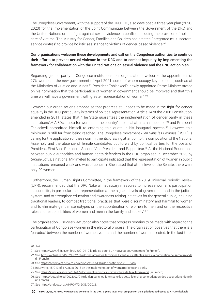The Congolese Government, with the support of the UNJHRO, also developed a three-year plan (2020- 2023) for the implementation of the Joint Communiqué between the Government of the DRC and the United Nations on the fight against sexual violence in conflict, including the provision of holistic care of victims. The Ministry for Gender, Families and Children has created "integrated multi-sectoral service centres" to provide holistic assistance to victims of gender-based violence.<sup>90</sup>

#### Our organisations welcome these developments and call on the Congolese authorities to continue their efforts to prevent sexual violence in the DRC and to combat impunity by implementing the framework for collaboration with the United Nations on sexual violence and the PNC action plan.

Regarding gender parity in Congolese institutions, our organisations welcome the appointment of 27% women in the new government of April 2021, some of whom occupy key positions, such as at the Ministries of Justice and Mines.<sup>91</sup> President Tshisekedi's newly appointed Prime Minister stated on his nomination that the participation of women in government should be improved and that "this time we will have a government with greater representation of women".<sup>92</sup>

However, our organisations emphasise that progress still needs to be made in the fight for gender equality in the DRC, particularly in terms of political representation. Article 14 of the 2006 Constitution, amended in 2011, states that "The State guarantees the implementation of gender parity in these institutions".<sup>93</sup> A 30% quota for women in the country's political affairs has been set<sup>94</sup> and President Tshisekedi committed himself to enforcing this quota in his inaugural speech.95 However, this minimum is still far from being reached. The Congolese movement *Rien Sans les Femmes* (RSLF) is calling for the application of these commitments, drawing attention to the composition of the National Assembly and the absence of female candidates put forward by political parties for the posts of President, First Vice President, Second Vice President and Rapporteur.<sup>96</sup> At the National Roundtable between public authorities and human rights defenders in the DRC organised in December 2020 by *Groupe Lotus*, a national MP invited to participate indicated that the representation of women in public institutions remained weak and was of concern. She stated that at the level of the Senate, there were only 29 women.

Furthermore, the Human Rights Committee, in the framework of the 2019 Universal Periodic Review (UPR), recommended that the DRC "take all necessary measures to increase women's participation in public life, in particular their representation at the highest levels of government and in the judicial system, and to strengthen education and awareness-raising initiatives for the general public, including traditional leaders, to combat traditional practices that were discriminatory and harmful to women and to eliminate gender stereotypes on the subordination of women to men and on the respective roles and responsibilities of women and men in the family and society".<sup>97</sup>

The organisation *Justice et Paix Congo* also notes that progress remains to be made with regard to the participation of Congolese women in the electoral process. The organisation observes that there is a "paradox" between the number of women voters and the number of women elected. In the last three

<sup>90.</sup> *Ibid.*

<sup>91.</sup> See <https://www.rfi.fr/fr/en-bref/20210412-la-rdc-se-dote-d-un-nouveau-gouvernement> (in French).

<sup>92.</sup> See <https://actualite.cd/2021/02/19/rdc-des-activistes-feminines-livrent-leurs-attentes-apres-la-nomination-de-sama-lukonde> (in French).

<sup>93.</sup> See <https://aceproject.org/ero-en/regions/africa/CD/rdc-constitution-2011/view>.

<sup>94.</sup> In Law No. 15/013 of 1 August 2015 on the implementation of women's rights and parity.

<sup>95.</sup> See <https://afrique.lalibre.be/31447/document-le-discours-dinvestiture-de-felix-tshisekedi/>(in French).

<sup>96.</sup> See <https://actualite.cd/2021/02/01/rdc-rien-sans-les-femmes-exige-cette-fois-ci-la-concretisation-des-declarations-de-felix> (in French).

<sup>97.</sup> See [https://undocs.org/A/HRC/WG.6/33/COD/2.](https://undocs.org/A/HRC/WG.6/33/COD/2)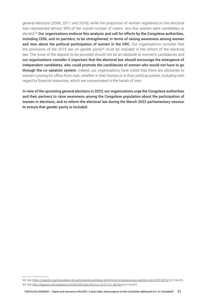general elections (2006, 2011 and 2018), while the proportion of women registered on the electoral lists represented almost 50% of the overall number of voters, very few women were candidates or elected.98 Our organisations endorse this analysis and call for efforts by the Congolese authorities, including CENI, and its partners, to be strengthened, in terms of raising awareness among women and men about the political participation of women in the DRC. Our organisations consider that the provisions of the 2015 law on gender parity<sup>99</sup> must be included in the reform of the electoral law. The issue of the deposit to be provided should not be an obstacle to women's candidacies and our organisations consider it important that the electoral law should encourage the emergence of independent candidates, who could promote the candidacies of women who would not have to go through the co-optation system. Indeed, our organisations have noted that there are obstacles to women running for office from men, whether in their homes or in their political parties, including with regard to financial resources, which are concentrated in the hands of men.

In view of the upcoming general elections in 2023, our organisations urge the Congolese authorities and their partners to raise awareness among the Congolese population about the participation of women in elections, and to reform the electoral law during the March 2022 parliamentary session to ensure that gender parity is included.

<sup>98.</sup> See <https://cejprdc.org/levaluation-de-participation-politique-de-femme-congolaise-aux-elections-de-2018-2019/> (in French)..

<sup>99.</sup> See <http://leganet.cd/Legislation/Droit%20Public/DH/Loi.15.013.01.08.html> (in French).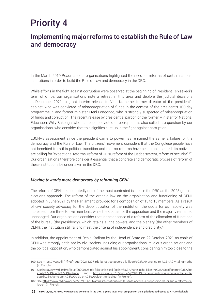## Priority 4

## Implementing major reforms to establish the Rule of Law and democracy

In the March 2019 Roadmap, our organisations highlighted the need for reforms of certain national institutions in order to build the Rule of Law and democracy in the DRC.

While efforts in the fight against corruption were observed at the beginning of President Tshisekedi's term of office, our organisations note a retreat in this area and deplore the judicial decisions in December 2021 to grant interim release to Vital Kamerhe, former director of the president's cabinet, who was convicted of misappropriation of funds in the context of the president's 100-day programme,<sup>100</sup> and former minister Eteni Longondo, who is strongly suspected of misappropriation of funds and corruption. The recent release by presidential pardon of the former Minister for National Education, Willy Bakonga, who had been convicted of corruption, is also called into question by our organisations, who consider that this signifies a let-up in the fight against corruption.

LUCHA's assessment since the president came to power has remained the same: a failure for the democracy and the Rule of Law. The citizens' movement considers that the Congolese people have not benefited from this political transition and that no reforms have been implemented. Its activists are calling for "exceptional reforms: reform of CENI, reform of the justice system, reform of security".<sup>101</sup> Our organisations therefore consider it essential that a concrete and democratic process of reform of these institutions be undertaken in the DRC.

#### *Moving towards more democracy by reforming CENI*

The reform of CENI is undoubtedly one of the most contested issues in the DRC as the 2023 general elections approach. The reform of the organic law on the organisation and functioning of CENI, adopted in June 2021 by the Parliament, provided for a composition of 13 to 15 members. As a result of civil society advocacy for the depoliticization of the institution, the quota for civil society was increased from three to five members, while the quotas for the opposition and the majority remained unchanged. Our organisations consider that in the absence of a reform of the allocation of functions of the bureau (the presidency), which retains all the powers, and the plenary (the other members of CENI), the institution still fails to meet the criteria of independence and credibility.102

In addition, the appointment of Denis Kadima by the Head of State on 22 October 2021 as chair of CENI was strongly criticised by civil society, including our organisations, religious organisations and the political opposition, who demonstrated against his appointment, considering him too close to the

<sup>100.</sup> See <https://www.rfi.fr/fr/afrique/20211207-rdc-la-justice-accorde-la-libert%C3%A9-provisoire-%C3%A0-vital-kamerhe> (in French).

<sup>101.</sup> See [https://www.rfi.fr/fr/afrique/20200126-rdc-felix-tshisekedi-fatshim%C3%A9trie-lucha-bilan-n%C3%A9gatif-premi%C3%A8re](https://www.rfi.fr/fr/afrique/20200126-rdc-felix-tshisekedi-fatshim%C3%A9trie-lucha-bilan-n%C3%A9gatif-premi%C3%A8re-ann%C3%A9e-pr%C3%A9sidence)[ann%C3%A9e-pr%C3%A9sidence](https://www.rfi.fr/fr/afrique/20200126-rdc-felix-tshisekedi-fatshim%C3%A9trie-lucha-bilan-n%C3%A9gatif-premi%C3%A8re-ann%C3%A9e-pr%C3%A9sidence) and [https://www.rfi.fr/fr/afrique/20210213-rdc-le-regard-critique-de-la-lucha-sur-la](https://www.rfi.fr/fr/afrique/20210213-rdc-le-regard-critique-de-la-lucha-sur-la-deuxi%C3%A8me-ann%C3%A9e-du-pr%C3%A9sident-tshisekedi)[deuxi%C3%A8me-ann%C3%A9e-du-pr%C3%A9sident-tshisekedi](https://www.rfi.fr/fr/afrique/20210213-rdc-le-regard-critique-de-la-lucha-sur-la-deuxi%C3%A8me-ann%C3%A9e-du-pr%C3%A9sident-tshisekedi) (in French).

<sup>102.</sup> See [https://www.radiookapi.net/2021/06/11/actualite/politique/rdc-le-senat-adopte-la-proposition-de-loi-sur-la-reforme-de](https://www.radiookapi.net/2021/06/11/actualite/politique/rdc-le-senat-adopte-la-proposition-de-loi-sur-la-reforme-de-la-ceni)[la-ceni](https://www.radiookapi.net/2021/06/11/actualite/politique/rdc-le-senat-adopte-la-proposition-de-loi-sur-la-reforme-de-la-ceni) (in French).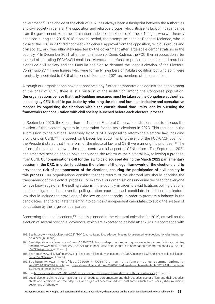government.<sup>103</sup> The choice of the chair of CENI has always been a flashpoint between the authorities and civil society in general, the opposition and religious groups, who criticise its lack of independence from the government. After the nomination under Joseph Kabila of Corneille Nangaa, who was heavily criticised during the 2015-2018 electoral period, the attempt to appoint Ronsard Malonda, who is close to the FCC, in 2020 did not meet with general approval from the opposition, religious groups and civil society, and was ultimately rejected by the government after large-scale demonstrations in the country.104 In December 2021, after the nomination of Denis Kadima, the FCC, then in opposition after the end of the ruling FCC/CACH coalition, reiterated its refusal to present candidates and marched alongside civil society and the Lamuka coalition to demand the "depoliticization of the Electoral Commission".105 Three figures who were formerly members of Kabila's coalition but who split, were eventually appointed to CENI at the end of December 2021 as members of the opposition.

Although our organisations have not observed any further demonstrations against the appointment of the chair of CENI, there is still mistrust of the institution among the Congolese population. Our organisations believe that trust-building measures must be taken by the Congolese authorities, including by CENI itself, in particular by reforming the electoral law in an inclusive and consultative manner, by organising the elections within the constitutional time limits, and by pursuing the frameworks for consultation with civil society launched before each electoral process.

In September 2020, the Consortium of National Electoral Observation Missions met to discuss the revision of the electoral system in preparation for the next elections in 2023. This resulted in the submission to the National Assembly by MPs of a proposal to reform the electoral law, including provisions on CENI.<sup>106</sup> In a speech on 6 December 2020, marking the end of the FCC/CACH coalition, the President stated that the reform of the electoral law and CENI were among his priorities.<sup>107</sup> The reform of the electoral law is the other controversial aspect of CENI reform. The September 2021 parliamentary session should have announced the reform of the electoral law, following a proposal from CENI. Our organisations call for the law to be discussed during the March 2022 parliamentary session in the DRC, in order to address the reform of the legal framework of the elections and to prevent the risk of postponement of the elections, ensuring the participation of civil society in this process. Our organisations consider that the reform of the electoral law should prioritise the transparency of the electoral process. For example, our organisations underline the need for everyone to have knowledge of all the polling stations in the country, in order to avoid fictitious polling stations, and the obligation to hand over the polling station reports to each candidate. In addition, the electoral law should include the provisions of the law on gender parity, in order to promote a balance in the candidacies, and to facilitate the entry into politics of independent candidates, to avoid the system of co-optation by the large political parties.

Concerning the local elections,108 initially planned in the electoral calendar for 2019, as well as the election of several provincial governors, which are expected to be held after 2023 in accordance with

<sup>103.</sup> See [https://www.radiookapi.net/2021/10/16/actualite/politique/lassemblee-nationale-enterine-la-designation-des-membres](https://www.radiookapi.net/2021/10/16/actualite/politique/lassemblee-nationale-enterine-la-designation-des-membres-de-la-ceni)[de-la-ceni](https://www.radiookapi.net/2021/10/16/actualite/politique/lassemblee-nationale-enterine-la-designation-des-membres-de-la-ceni) (in French).

<sup>104.</sup> See <https://www.aljazeera.com/news/2020/7/13/thousands-protest-in-dr-congo-over-electoral-commission-appointee> and [https://www.rfi.fr/fr/afrique/20200721-rdc-la-pol%C3%A9mique-autour-la-nomination-ronsard-malonda-%C3%A0-la](https://www.rfi.fr/fr/afrique/20200721-rdc-la-pol%C3%A9mique-autour-la-nomination-ronsard-malonda-%C3%A0-la-c%C3%A9-poursuit)[c%C3%A9-poursuit](https://www.rfi.fr/fr/afrique/20200721-rdc-la-pol%C3%A9mique-autour-la-nomination-ronsard-malonda-%C3%A0-la-c%C3%A9-poursuit) (in French).

<sup>105.</sup> See [https://www.rfi.fr/fr/afrique/20211113-rdc-des-milliers-de-manifestants-d%C3%A9noncent-%C3%A0-kinshasa-la-politisation](https://www.rfi.fr/fr/afrique/20211113-rdc-des-milliers-de-manifestants-d%C3%A9noncent-%C3%A0-kinshasa-la-politisation-de-la-c%C3%A9ni)[de-la-c%C3%A9ni](https://www.rfi.fr/fr/afrique/20211113-rdc-des-milliers-de-manifestants-d%C3%A9noncent-%C3%A0-kinshasa-la-politisation-de-la-c%C3%A9ni) (in French).

<sup>106.</sup> See [https://www.rfi.fr/fr/afrique/20200914-r%C3%A9formes-institutions-en-rdc-les-recommandations-la](https://www.rfi.fr/fr/afrique/20200914-r%C3%A9formes-institutions-en-rdc-les-recommandations-la-soci%C3%A9t%C3%A9-civile)[soci%C3%A9t%C3%A9-civile](https://www.rfi.fr/fr/afrique/20200914-r%C3%A9formes-institutions-en-rdc-les-recommandations-la-soci%C3%A9t%C3%A9-civile) and [https://www.rfi.fr/fr/afrique/20200918-rdc-parlementaires-tentent-r%C3%A9former-la-loi-](https://www.rfi.fr/fr/afrique/20200918-rdc-parlementaires-tentent-r%C3%A9former-la-loi-%C3%A9lectorale) [%C3%A9lectorale](https://www.rfi.fr/fr/afrique/20200918-rdc-parlementaires-tentent-r%C3%A9former-la-loi-%C3%A9lectorale) (in French).

<sup>107.</sup> See <https://actualite.cd/2020/12/06/discours-de-felix-tshisekedi-lissue-des-consultations-integralite> (in French).

<sup>108.</sup> Local elections aim to elect mayors and their deputies, burgomasters and their deputies, sector chiefs and their deputies, chiefs of chieftaincies and their deputies, and organs of decentralised territorial entities such as councils (urban, municipal, sector and chieftaincy).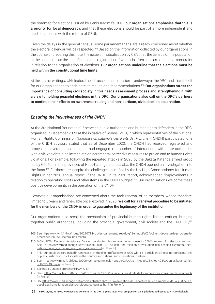the roadmap for elections issued by Denis Kadima's CENI, our organisations emphasise that this is a priority for local democracy, and that these elections should be part of a more independent and credible process with the reform of CENI.

Given the delays in the general census, some parliamentarians are already concerned about whether the electoral calendar will be respected.<sup>109</sup> Based on the information collected by our organisations in the course of preparing this note, the issue of mutualisation by CENI, i.e., the census of the population at the same time as the identification and registration of voters, is often seen as a technical constraint in relation to the organisation of elections. Our organisations underline that the elections must be held within the constitutional time limits.

At the time of writing, a UN electoral needs assessment mission is underway in the DRC, and it is difficult for our organisations to anticipate its results and recommendations.<sup>110</sup> Our organisations stress the importance of consulting civil society in this needs assessment process and strengthening it, with a view to holding peaceful elections in the DRC. Our organisations also call on the DRC's partners to continue their efforts on awareness-raising and non-partisan, civic election observation.

#### *Ensuring the inclusiveness of the CNDH*

At the 3rd National Roundtable<sup>111</sup> between public authorities and human rights defenders in the DRC, organised in December 2020 at the initiative of *Groupe Lotus*, in which representatives of the National Human Rights Commission (*Commission nationale des droits de l'Homme* – CNDH) participated, one of the CNDH advisors stated that as of December 2020, the CNDH had received, registered and processed several complaints, and had engaged in a number of interactions with state authorities with a view to obtaining immediate or incremental corrective measures to put an end to human rights violations. For example, following the repeated attacks in 2020 by the Bakata Katanga armed group led by Gédéon in the provinces of Haut-Katanga and Lualaba, the CNDH opened an investigation into the facts.<sup>112</sup> Furthermore, despite the challenges identified by the UN High Commissioner for Human Rights in her 2020 annual report,113 the CNDH, in its 2020 report, acknowledged "improvements in relation to operating costs and other items in the CNDH budget".<sup>114</sup> Our organisations welcome these positive developments in the operation of the CNDH.

However, our organisations are concerned about the tacit renewal of its members, whose mandate, limited to 5 years and renewable once, expired in 2020. We call for a renewal procedure to be initiated for the members of the CNDH in order to guarantee the legitimacy of the institution.

Our organisations also recall the mechanism of provincial human rights liaison entities, bringing together public authorities, including the provincial government, civil society and the UNJHRO,<sup>115</sup>

<sup>109.</sup> See [https://www.rfi.fr/fr/afrique/20210714-rdc-les-parlementaires-du-g13-s-inqui%C3%A8tent-des-retards-pris-dans-le](https://www.rfi.fr/fr/afrique/20210714-rdc-les-parlementaires-du-g13-s-inqui%C3%A8tent-des-retards-pris-dans-le-processus-%C3%A9lectoral)[processus-%C3%A9lectoral](https://www.rfi.fr/fr/afrique/20210714-rdc-les-parlementaires-du-g13-s-inqui%C3%A8tent-des-retards-pris-dans-le-processus-%C3%A9lectoral) (in French).

<sup>110.</sup> MONUSCO's Electoral Assistance Division conducted this mission in response to CENI's request for electoral support. See [https://www.mediacongo.net/article-actualite-102158\\_ceni\\_une\\_mission\\_d\\_evaluation\\_des\\_besoins\\_electoraux\\_des\\_](https://www.mediacongo.net/article-actualite-102158_ceni_une_mission_d_evaluation_des_besoins_electoraux_des_nations_unies_a_echange_avec_denis_kadima.html) [nations\\_unies\\_a\\_echange\\_avec\\_denis\\_kadima.html](https://www.mediacongo.net/article-actualite-102158_ceni_une_mission_d_evaluation_des_besoins_electoraux_des_nations_unies_a_echange_avec_denis_kadima.html) (in French).

<sup>111.</sup> This roundtable was organised in Kinshasa at the beginning of December 2020, with 141 participants, including representatives of public institutions, civil society in the country and national and international partners.

<sup>112.</sup> See [https://www.rfi.fr/fr/afrique/20200406-rdc-commission-enqu%C3%AAte-milice-g%C3%A9d%C3%A9on-ex-katanga-fait](https://www.rfi.fr/fr/afrique/20200406-rdc-commission-enqu%C3%AAte-milice-g%C3%A9d%C3%A9on-ex-katanga-fait-pol%C3%A9mique)[pol%C3%A9mique](https://www.rfi.fr/fr/afrique/20200406-rdc-commission-enqu%C3%AAte-milice-g%C3%A9d%C3%A9on-ex-katanga-fait-pol%C3%A9mique) (in French).

<sup>113.</sup> See<https://undocs.org/en/A/HRC/45/49>.

<sup>114.</sup> See <https://actualite.cd/2021/10/24/rdc-plus-de-52-000-violations-des-droits-de-lhomme-enregistrees-par-des-plaintes-la> (in French).

<sup>115.</sup> See [https://www.mediacongo.net/article-actualite-3920\\_criminalisation\\_de\\_la\\_torture\\_la\\_vice\\_ministre\\_de\\_la\\_justice\\_en\\_](https://www.mediacongo.net/article-actualite-3920_criminalisation_de_la_torture_la_vice_ministre_de_la_justice_en_appelle_a_l_amelioration_des_conditions_carcerales.html) [appelle\\_a\\_l\\_amelioration\\_des\\_conditions\\_carcerales.html](https://www.mediacongo.net/article-actualite-3920_criminalisation_de_la_torture_la_vice_ministre_de_la_justice_en_appelle_a_l_amelioration_des_conditions_carcerales.html) (in French).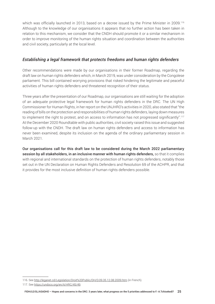which was officially launched in 2013, based on a decree issued by the Prime Minister in 2009.<sup>116</sup> Although to the knowledge of our organisations it appears that no further action has been taken in relation to this mechanism, we consider that the CNDH should promote it or a similar mechanism in order to improve monitoring of the human rights situation and coordination between the authorities and civil society, particularly at the local level.

#### *Establishing a legal framework that protects freedoms and human rights defenders*

Other recommendations were made by our organisations in their former Roadmap, regarding the draft law on human rights defenders which, in March 2019, was under consideration by the Congolese parliament. This bill contained worrying provisions that risked hindering the legitimate and peaceful activities of human rights defenders and threatened recognition of their status.

Three years after the presentation of our Roadmap, our organisations are still waiting for the adoption of an adequate protective legal framework for human rights defenders in the DRC. The UN High Commissioner for Human Rights, in her report on the UNJHRO's activities in 2020, also stated that "the reading of bills on the protection and responsibilities of human rights defenders, laying down measures to implement the right to protest, and on access to information has not progressed significantly".<sup>117</sup> At the December 2020 Roundtable with public authorities, civil society raised this issue and suggested follow-up with the CNDH. The draft law on human rights defenders and access to information has never been examined, despite its inclusion on the agenda of the ordinary parliamentary session in March 2021.

Our organisations call for this draft law to be considered during the March 2022 parliamentary session by all stakeholders, in an inclusive manner with human rights defenders, so that it complies with regional and international standards on the protection of human rights defenders, notably those set out in the UN Declaration on Human Rights Defenders and Resolution 69 of the ACHPR, and that it provides for the most inclusive definition of human rights defenders possible.

<sup>116.</sup> See <http://leganet.cd/Legislation/Droit%20Public/DH/D.09.35.12.08.2009.htm> (in French).

<sup>117.</sup> See [https://undocs.org/en/A/HRC/45/49.](https://undocs.org/en/A/HRC/45/49)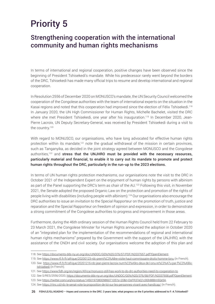# Priority 5

## Strengthening cooperation with the international community and human rights mechanisms

In terms of international and regional cooperation, positive changes have been observed since the beginning of President Tshisekedi's mandate. While his predecessor rarely went beyond the borders of the DRC, Tshisekedi has made many official trips to resume and develop international and regional cooperation.

In Resolution 2556 of December 2020 on MONUSCO's mandate, the UN Security Council welcomed the cooperation of the Congolese authorities with the team of international experts on the situation in the Kasai regions and noted that this cooperation had improved since the election of Félix Tshisekedi.<sup>118</sup> In January 2020, the UN High Commissioner for Human Rights, Michelle Bachelet, visited the DRC where she met President Tshisekedi, one year after his inauguration.<sup>119</sup> In December 2020, Jean-Pierre Lacroix, UN Deputy Secretary-General, was received by President Tshisekedi during a visit to the country.<sup>120</sup>

With regard to MONUSCO, our organisations, who have long advocated for effective human rights protection within its mandate,<sup>121</sup> note the gradual withdrawal of the mission in certain provinces, such as Tanganyika, as decided in the joint strategy agreed between MONUSCO and the Congolese authorities,<sup>122</sup> and stress that the UNJHRO must be provided with the necessary resources, particularly material and financial, to enable it to carry out its mandate to promote and protect human rights throughout the DRC, particularly in the run-up to the 2023 elections.

In terms of UN human rights protection mechanisms, our organisations note the visit to the DRC in October 2021 of the Independent Expert on the enjoyment of human rights by persons with albinism as part of the Panel supporting the DRC's term as chair of the AU.<sup>123</sup> Following this visit, in November 2021, the Senate adopted the proposed Organic Law on the protection and promotion of the rights of people living with disabilities (including people with albinism).124 Our organisations also encourage the DRC authorities to issue an invitation to the Special Rapporteur on the promotion of truth, justice and reparation and the Special Rapporteur on freedom of opinion and expression, in order to demonstrate a strong commitment of the Congolese authorities to progress and improvement in those areas.

Furthermore, during the 46th ordinary session of the Human Rights Council held from 22 February to 23 March 2021, the Congolese Minister for Human Rights announced the adoption in October 2020 of an "integrated plan for the implementation of the recommendations of regional and international human rights mechanisms" prepared by the Government with the support of the UNJHRO, with the assistance of the CNDH and civil society. Our organisations welcome the adoption of this plan and

<sup>118.</sup> See<https://documents-dds-ny.un.org/doc/UNDOC/GEN/N20/376/57/PDF/N2037657.pdf?OpenElement>.

<sup>119.</sup> See <https://www.rfi.fr/fr/afrique/20200123-rdc-premi%C3%A8re-visite-haut-commissaire-droits-homme-lonu> (in French).

<sup>120.</sup> See [https://www.rfi.fr/fr/afrique/20201216-rdc-jean-pierre-lacroix-num%C3%A9ro-deux-de-l-onu-re%C3%A7u-par-f%C3%A9lix](https://www.rfi.fr/fr/afrique/20201216-rdc-jean-pierre-lacroix-num%C3%A9ro-deux-de-l-onu-re%C3%A7u-par-f%C3%A9lix-tshisekedi)[tshisekedi](https://www.rfi.fr/fr/afrique/20201216-rdc-jean-pierre-lacroix-num%C3%A9ro-deux-de-l-onu-re%C3%A7u-par-f%C3%A9lix-tshisekedi) (in French).

<sup>121.</sup> See <https://www.fidh.org/en/region/Africa/monusco-still-has-work-to-do-drc-authorities-need-its-cooperation-to>.

<sup>122.</sup> See S/RES/2556/2020, [https://documents-dds-ny.un.org/doc/UNDOC/GEN/N20/376/58/PDF/N2037658.pdf?OpenElement.](https://documents-dds-ny.un.org/doc/UNDOC/GEN/N20/376/58/PDF/N2037658.pdf?OpenElement)

<sup>123.</sup> See [https://twitter.com/unjhro/status/1450197080098607105?s=20&t=DsFR37eQ1c9Sh88Bm5Qe5A.](https://twitter.com/unjhro/status/1450197080098607105?s=20&t=DsFR37eQ1c9Sh88Bm5Qe5A)

<sup>124.</sup> See [https://rtnc.cd/rdc-le-senat-vote-la-proposition-de-loi-sur-les-personnes-vivant-avec-handicap/](https://rtnc.cd/rdc-le-senat-vote-la-proposition-de-loi-sur-les-personnes-vivant-avec-handicap/?fbclid=IwAR0dr4R9MuhhZ7ZC49UAlWGKVeRfkD6RrZoYsud4q4QsX5Wo8HA87i9xJ20) (in French).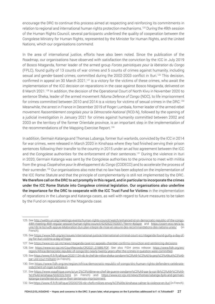encourage the DRC to continue this process aimed at respecting and reinforcing its commitments in relation to regional and international human rights protection mechanisms.125 During the 49th session of the Human Rights Council, several participants underlined the quality of cooperation between the Congolese Ministry for Human Rights, represented by the Minister for Human Rights, and the United Nations, which our organisations commend.

In the area of international justice, efforts have also been noted. Since the publication of the Roadmap, our organisations have observed with satisfaction the conviction by the ICC in July 2019 of Bosco Ntaganda, former leader of the armed group *Forces patriotiques pour la libération du Congo* (FPLC), found guilty of 13 counts of war crimes and 5 counts of crimes against humanity, including sexual and gender-based crimes, committed during the 2002-2003 conflict in Ituri.<sup>126</sup> This decision, confirmed in appeal on 30 March 2021,<sup>127</sup> is a victory for the victims of these crimes, who await the implementation of the ICC decision on reparations in the case against Bosco Ntaganda, delivered on 8 March 2021.128 In addition, the decision of the Operational Court of North Kivu in November 2020 to sentence Sheka, leader of the armed movement *Nduma Defence of Congo* (NDC), to life imprisonment for crimes committed between 2010 and 2014 is a victory for victims of sexual crimes in the DRC.<sup>129</sup> Meanwhile, the arrest in France in December 2019 of Roger Lumbala, former leader of the armed rebel movement *Rassemblement congolais pour la Démocratie-National* (RCD-N), followed by the opening of a judicial investigation in January 2021 for crimes against humanity committed between 2002 and 2003 on the territory of the former Orientale province, is an important step in the implementation of the recommendations of the Mapping Exercise Report.<sup>130</sup>

In addition, Germain Katanga and Thomas Lubanga, former Ituri warlords, convicted by the ICC in 2014 for war crimes, were released in March 2020 in Kinshasa where they had finished serving their prison sentences following their transfer to the country in 2015 under an *ad hoc* agreement between the ICC and the Congolese authorities for the enforcement of their sentences.<sup>131</sup> During the violence in Ituri in 2020, Germain Katanga was sent by the Congolese authorities to the province to meet with militia from the group *Coopérative pour le développement du Congo* (CODECO) and to accelerate the process of their surrender.132 Our organisations also note that no law has been adopted on the implementation of the ICC Rome Statute and that the principle of complementarity is still not implemented by the DRC. We therefore call on the DRC to act promptly in this regard, and in particular to incorporate the crimes under the ICC Rome Statute into Congolese criminal legislation. Our organisations also underline the importance for the DRC to cooperate with the ICC Trust Fund for Victims in the implementation of reparations in the Lubanga and Katanga cases, as well with regard to future measures to be taken by the Fund on reparations in the Ntaganda case.

<sup>125.</sup> See [http://webtv.un.org/meetings-events/human-rights-council/watch/enhanced-id-on-democratic-republic-of-the-congo-](http://webtv.un.org/meetings-events/human-rights-council/watch/enhanced-id-on-democratic-republic-of-the-congo-44th-meeting-46th-regular-session-human-rights-council/6242622163001/?term=#player)[44th-meeting-46th-regular-session-human-rights-council/6242622163001/?term=#player](http://webtv.un.org/meetings-events/human-rights-council/watch/enhanced-id-on-democratic-republic-of-the-congo-44th-meeting-46th-regular-session-human-rights-council/6242622163001/?term=#player) and [https://zoom-eco.net/a-la](https://zoom-eco.net/a-la-une/rdc-le-bcnudh-appuie-lelaboration-dun-plan-integre-de-mise-en-oeuvre-des-recommandations-des-nations-unies/)[une/rdc-le-bcnudh-appuie-lelaboration-dun-plan-integre-de-mise-en-oeuvre-des-recommandations-des-nations-unies/](https://zoom-eco.net/a-la-une/rdc-le-bcnudh-appuie-lelaboration-dun-plan-integre-de-mise-en-oeuvre-des-recommandations-des-nations-unies/) (in French).

<sup>126.</sup> See [https://www.fidh.org/en/issues/international-justice/international-criminal-court-icc/ntaganda-found-guilty-a-day-of](https://www.fidh.org/en/issues/international-justice/international-criminal-court-icc/ntaganda-found-guilty-a-day-of-joy-for-ituri-victims-a-day-of-hope)[joy-for-ituri-victims-a-day-of-hope](https://www.fidh.org/en/issues/international-justice/international-criminal-court-icc/ntaganda-found-guilty-a-day-of-joy-for-ituri-victims-a-day-of-hope).

<sup>127.</sup> See <https://www.icc-cpi.int/news/ntaganda-case-icc-appeals-chamber-confirms-conviction-and-sentencing-decisions>.

<sup>128.</sup> See [https://www.icc-cpi.int/CourtRecords/CR2021\\_01889.PDF](https://www.icc-cpi.int/CourtRecords/CR2021_01889.PDF). See also FIDH press release: [https://www.fidh.org/en/](https://www.fidh.org/en/region/Africa/democratic-republic-of-congo/drc-nearly-twenty-years-after-the-crimes-in-question-were-committed) [region/Africa/democratic-republic-of-congo/drc-nearly-twenty-years-after-the-crimes-in-question-were-committed.](https://www.fidh.org/en/region/Africa/democratic-republic-of-congo/drc-nearly-twenty-years-after-the-crimes-in-question-were-committed)

<sup>129.</sup> See [https://www.rfi.fr/fr/afrique/20201124-rdc-le-chef-de-milice-sheka-condamn%C3%A9-%C3%A0-la-perp%C3%A9tuit%C3%A9](https://www.rfi.fr/fr/afrique/20201124-rdc-le-chef-de-milice-sheka-condamn%C3%A9-%C3%A0-la-perp%C3%A9tuit%C3%A9-par-une-cour-militaire) [par-une-cour-militaire](https://www.rfi.fr/fr/afrique/20201124-rdc-le-chef-de-milice-sheka-condamn%C3%A9-%C3%A0-la-perp%C3%A9tuit%C3%A9-par-une-cour-militaire) (in French).

<sup>130.</sup> See [https://www.fidh.org/en/region/Africa/democratic-republic-of-congo/drc-human-rights-defenders-celebrate](https://www.fidh.org/en/region/Africa/democratic-republic-of-congo/drc-human-rights-defenders-celebrate-indictment-of-roger-lumbala-in)[indictment-of-roger-lumbala-in.](https://www.fidh.org/en/region/Africa/democratic-republic-of-congo/drc-human-rights-defenders-celebrate-indictment-of-roger-lumbala-in)

<sup>131.</sup> See [https://www.voaafrique.com/a/un-2%C3%A8me-ex-chef-de-guerre-condamn%C3%A9-par-la-cpi-lib%C3%A9r%C3%A9-](https://www.voaafrique.com/a/un-2%C3%A8me-ex-chef-de-guerre-condamn%C3%A9-par-la-cpi-lib%C3%A9r%C3%A9-%C3%A0-kinshasa/5332222.html) [%C3%A0-kinshasa/5332222.html](https://www.voaafrique.com/a/un-2%C3%A8me-ex-chef-de-guerre-condamn%C3%A9-par-la-cpi-lib%C3%A9r%C3%A9-%C3%A0-kinshasa/5332222.html) (in French) and [https://www.icc-cpi.int/news/thomas-lubanga-dyilo-and-germain](https://www.icc-cpi.int/news/thomas-lubanga-dyilo-and-germain-katanga-transferred-drc-serve-their-sentences-imprisonment)[katanga-transferred-drc-serve-their-sentences-imprisonment.](https://www.icc-cpi.int/news/thomas-lubanga-dyilo-and-germain-katanga-transferred-drc-serve-their-sentences-imprisonment)

<sup>132.</sup> See <https://www.rfi.fr/fr/afrique/20200705-rdc-chefs-milices-envoy%C3%A9s-kinshasa-calmer-la-violence-en-ituri> (in French).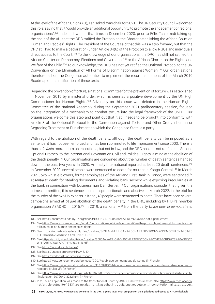At the level of the African Union (AU), Tshisekedi was chair for 2021. The UN Security Council welcomed this role, saying that it "could provide an additional opportunity to promote the engagement of regional organisations".133 Indeed, it was at that time, in December 2020, prior to Félix Tshisekedi taking up the chair of the AU, that the DRC ratified the Protocol to the Charter establishing the African Court on Human and Peoples' Rights. The President of the Court said that this was a step forward, but that the DRC still had to make a declaration (under Article 34(6) of the Protocol) to allow NGOs and individuals direct access to the Court.134 To the knowledge of our organisations, the DRC has still not ratified the African Charter on Democracy, Elections and Governance<sup>135</sup> or the African Charter on the Rights and Welfare of the Child.<sup>136</sup> To our knowledge, the DRC has not yet ratified the Optional Protocol to the UN Convention on the Elimination of All Forms of Discrimination against Women.137 Our organisations therefore call on the Congolese authorities to implement the recommendations of the March 2019 Roadmap on the ratification of these texts.

Regarding the prevention of torture, a national committee for the prevention of torture was established in November 2019 by ministerial order, which is seen as a positive development by the UN High Commissioner for Human Rights.138 Advocacy on this issue was debated in the Human Rights Committee of the National Assembly during the September 2021 parliamentary session, focused on the integration of a mechanism to combat torture into the legal framework of the CNDH. Our organisations welcome this step and point out that it still needs to be brought into conformity with Article 3 of the Optional Protocol to the Convention against Torture and Other Cruel, Inhuman or Degrading Treatment or Punishment, to which the Congolese State is a party.

With regard to the abolition of the death penalty, although the death penalty can be imposed as a sentence, it has not been enforced and has been commuted to life imprisonment since 2003. There is thus a *de facto* moratorium on executions, but not in law, and the DRC has still not ratified the Second Optional Protocol to the International Covenant on Civil and Political Rights, aiming at the abolition of the death penalty.<sup>139</sup> Our organisations are concerned about the number of death sentences handed down in the past two years. In 2020, Amnesty International reported at least 20 death sentences.<sup>140</sup> In December 2020, several people were sentenced to death for murder in Kongo-Central.141 In March 2021, two whistle-blowers, former employees of the Afriland First Bank in Congo, were sentenced *in absentia* to death for stealing documents and violating bank secrecy while exposing irregularities at the bank in connection with businessman Dan Gertler.<sup>142</sup> Our organisations consider that, given the crimes committed, this sentence seems disproportionate and abusive. In March 2022, in the trial for the murder of the two UN experts in Kasai, 49 people were sentenced to death. There have been several campaigns aimed at *de jure* abolition of the death penalty in the DRC, including by FIDH's member organisation ASADHO in 2016.143 In 2019, a national MP from the party *Union pour la démocratie et* 

<sup>133.</sup> See<https://documents-dds-ny.un.org/doc/UNDOC/GEN/N20/376/57/PDF/N2037657.pdf?OpenElement>.

<sup>134.</sup> See [https://www.african-court.org/wpafc/democratic-republic-of-congo-ratifies-the-protocol-on-the-establishment-of-the](https://www.african-court.org/wpafc/democratic-republic-of-congo-ratifies-the-protocol-on-the-establishment-of-the-african-court-on-human-and-peoples-rights/)[african-court-on-human-and-peoples-rights/.](https://www.african-court.org/wpafc/democratic-republic-of-congo-ratifies-the-protocol-on-the-establishment-of-the-african-court-on-human-and-peoples-rights/)

<sup>135.</sup> See [https://au.int/sites/default/files/treaties/36384-sl-AFRICAN%20CHARTER%20ON%20DEMOCRACY%2C%20](https://au.int/sites/default/files/treaties/36384-sl-AFRICAN%20CHARTER%20ON%20DEMOCRACY%2C%20ELECTIONS%20AND%20GOVERNANCE.PDF) [ELECTIONS%20AND%20GOVERNANCE.PDF](https://au.int/sites/default/files/treaties/36384-sl-AFRICAN%20CHARTER%20ON%20DEMOCRACY%2C%20ELECTIONS%20AND%20GOVERNANCE.PDF).

<sup>136.</sup> See [https://au.int/sites/default/files/treaties/36804-sl-AFRICAN%20CHARTER%20ON%20THE%20RIGHTS%20AND%20](https://au.int/sites/default/files/treaties/36804-sl-AFRICAN%20CHARTER%20ON%20THE%20RIGHTS%20AND%20WELFARE%20OF%20THE%20CHILD.pdf) [WELFARE%20OF%20THE%20CHILD.pdf](https://au.int/sites/default/files/treaties/36804-sl-AFRICAN%20CHARTER%20ON%20THE%20RIGHTS%20AND%20WELFARE%20OF%20THE%20CHILD.pdf).

<sup>137.</sup> See [https://indicators.ohchr.org/.](https://indicators.ohchr.org/)

<sup>138.</sup> See<https://undocs.org/en/A/HRC/45/49>.

<sup>139.</sup> See [https://worldcoalition.org/pays/congo/.](https://worldcoalition.org/pays/congo/)

<sup>140.</sup> See<https://www.peinedemort.org/zonegeo/COD/Republique-democratique-du-Congo>(in French).

<sup>141.</sup> See [https://www.peinedemort.org/document/11109/RDC-14-personnes-condamnes-a-mort-pour-le-meurtre-de-jumeaux](https://www.peinedemort.org/document/11109/RDC-14-personnes-condamnes-a-mort-pour-le-meurtre-de-jumeaux-rappeurs-brules-vifs)[rappeurs-brules-vifs](https://www.peinedemort.org/document/11109/RDC-14-personnes-condamnes-a-mort-pour-le-meurtre-de-jumeaux-rappeurs-brules-vifs) (in French).

<sup>142.</sup> See [https://www.lemonde.fr/afrique/article/2021/03/05/en-rdc-la-condamnation-a-mort-de-deux-lanceurs-d-alerte-suscite](https://www.lemonde.fr/afrique/article/2021/03/05/en-rdc-la-condamnation-a-mort-de-deux-lanceurs-d-alerte-suscite-l-indignation_6072049_3212.html)[l-indignation\\_6072049\\_3212.html](https://www.lemonde.fr/afrique/article/2021/03/05/en-rdc-la-condamnation-a-mort-de-deux-lanceurs-d-alerte-suscite-l-indignation_6072049_3212.html) (in French).

<sup>143.</sup> In 2016, an application was made to the Constitutional Court by ASADHO but was rejected. See [https://www.mediacongo.](https://www.mediacongo.net/article-actualite-15831_peine_de_mort_l_asadho_introduit_une_requete_en_inconstitutionnalite_a_la_cour_constitutionnelle.html) [net/article-actualite-15831\\_peine\\_de\\_mort\\_l\\_asadho\\_introduit\\_une\\_requete\\_en\\_inconstitutionnalite\\_a\\_la\\_cour\\_](https://www.mediacongo.net/article-actualite-15831_peine_de_mort_l_asadho_introduit_une_requete_en_inconstitutionnalite_a_la_cour_constitutionnelle.html)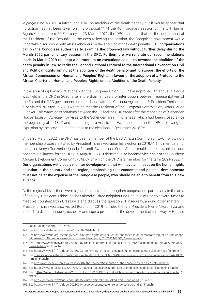*le progrès social* (UDPS) introduced a bill on abolition of the death penalty but it would appear that no action has yet been taken on this proposal.<sup>144</sup> At the 46th ordinary session of the UN Human Rights Council, from 22 February to 23 March 2021, the DRC indicated that on the instructions of the President of the Republic, in the days following the session, the Congolese government would undertake discussions with all stakeholders on the abolition of the death penalty.<sup>145</sup> Our organisations call on the Congolese authorities to examine the proposed law without further delay during the March 2022 parliamentary session in the DRC. Furthermore, we reiterate our recommendations made in March 2019 to adopt a moratorium on executions as a step towards the abolition of the death penalty in law, to ratify the Second Optional Protocol to the International Covenant on Civil and Political Rights aiming at the abolition of the death penalty and to support the efforts of the African Commission on Human and Peoples' Rights in favour of the adoption of a Protocol to the African Charter on Human and Peoples' Rights on the Abolition of the Death Penalty.

In the area of diplomacy, relations with the European Union (EU) have improved. An annual dialogue was held in the DRC in 2020, after more than ten years of interruption, between representatives of the EU and the DRC government, in accordance with the Cotonou Agreement.146 President Tshisekedi also visited Brussels in 2019 where he met the President of the European Commission, Jean-Claude Juncker. This warming of relations between the EU and the DRC came after the reopening of "Schengen House" (*Maison Schengen* for visas to the Schengen area) in Kinshasa, which had been closed since the beginning of 2018,<sup>147</sup> and the issuing of a visa to the EU ambassador in the DRC, following his expulsion by the previous regime prior to the elections in December 2018.148

Since 29 March 2022, the DRC has been a member of the East African Community (EAC) following a membership process initiated by President Tshisekedi upon his election in 2019.149 This membership, alongside Kenya, Tanzania, Uganda, Burundi, Rwanda and South Sudan, could create new political and economic alliances for the DRC. In August 2021, Tshisekedi also became vice-chair of the Southern African Development Community (SADC), of which the DRC is a member, for the term 2021-2022.<sup>150</sup> Our organisations will closely monitor developments that will have an impact on the human rights situation in the country and the region, emphasising that economic and political developments must not be at the expense of the Congolese people, who should be able to benefit from this new alliance.

At the regional level, there were signs of initiatives to strengthen cooperation, particularly in the area of security. President Tshisekedi has already visited neighbouring Republic of Congo several times to meet his counterpart in Brazzaville and discuss the question of insecurity, among other matters.<sup>151</sup> President Tshisekedi also visited Burundi in 2019 to meet the late President Pierre Nkurunziza and in 2021 to discuss security issues<sup>152</sup> and sign a protocol for the development of a railway.<sup>153</sup> He also

[constitutionnelle.html](https://www.mediacongo.net/article-actualite-15831_peine_de_mort_l_asadho_introduit_une_requete_en_inconstitutionnalite_a_la_cour_constitutionnelle.html) (in French).

<sup>144.</sup> See <https://fr.allafrica.com/stories/201908230147.html>.

<sup>145.</sup> See [http://webtv.un.org/meetings-events/human-rights-council/watch/enhanced-id-on-democratic-republic-of-the-congo-](http://webtv.un.org/meetings-events/human-rights-council/watch/enhanced-id-on-democratic-republic-of-the-congo-44th-meeting-46th-regular-session-human-rights-council/6242622163001/?term=#player)[44th-meeting-46th-regular-session-human-rights-council/6242622163001/?term=#player.](http://webtv.un.org/meetings-events/human-rights-council/watch/enhanced-id-on-democratic-republic-of-the-congo-44th-meeting-46th-regular-session-human-rights-council/6242622163001/?term=#player)

<sup>146.</sup> See [https://www.rfi.fr/fr/afrique/20201007-rdc-lors-sommet-l-ue-toutes-les-pr%C3%A9occupations-ont-%C3%A9t%C3%A9](https://www.rfi.fr/fr/afrique/20201007-rdc-lors-sommet-l-ue-toutes-les-pr%C3%A9occupations-ont-%C3%A9t%C3%A9-mises-la-table) [mises-la-table](https://www.rfi.fr/fr/afrique/20201007-rdc-lors-sommet-l-ue-toutes-les-pr%C3%A9occupations-ont-%C3%A9t%C3%A9-mises-la-table) (in French).

<sup>147.</sup> See <https://www.rfi.fr/fr/afrique/20180203-rdc-fermeture-maison-schengen-union-europeenne-belgique-visas> (in French).

<sup>148.</sup> See [https://www.voaafrique.com/a/l-ue-juge-totalement-injutifi%C3%A9e-l-expulsion-de-son-ambassadeur-en-rdc/4718898.](https://www.voaafrique.com/a/l-ue-juge-totalement-injutifi%C3%A9e-l-expulsion-de-son-ambassadeur-en-rdc/4718898.html) [html](https://www.voaafrique.com/a/l-ue-juge-totalement-injutifi%C3%A9e-l-expulsion-de-son-ambassadeur-en-rdc/4718898.html) (in French).

<sup>149.</sup> See [https://www.eac.int/press-releases/2402-the-democratic-republic-of-the-congo-joins-eac-as-its-7th-member.](https://www.eac.int/press-releases/2402-the-democratic-republic-of-the-congo-joins-eac-as-its-7th-member)

<sup>150.</sup> See <https://www.actualite.cd/2021/08/17/sadc-la-rdc-accede-la-premiere-vice-presidence-de-lorganisation> (in French).

<sup>151.</sup> See <https://www.rfi.fr/fr/afrique/20210111-rdc-f%C3%A9lix-tshisekedi-boucle-une-nouvelle-visite-au-congo-brazzaville> (in French).

<sup>152.</sup> See <https://www.rfi.fr/fr/afrique/20190615-visite-eclair-felix-tshisekedi-voisin-burundais> (in French).

<sup>153.</sup> See <https://www.rfi.fr/fr/afrique/20210714-accords-et-entente-entre-la-rdc-et-le-burundi> (in French).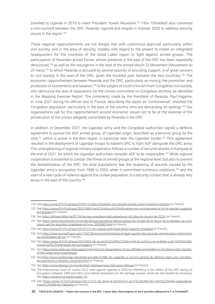travelled to Uganda in 2019 to meet President Yoweri Museveni.154 Félix Tshisekedi also convened a mini-summit between the DRC, Rwanda, Uganda and Angola in October 2020 to address security issues in the region.<sup>155</sup>

These regional rapprochements are not always met with unanimous approval, particularly within civil society, and in the area of security, notably with regard to the project to create an integrated headquarters for the countries of the Great Lakes region to fight against armed groups. The participation of Rwandan armed forces, whose presence in the east of the DRC has been repeatedly denounced,156 as well as the resurgence in the east of the armed March 23 Movement (*Mouvement du 23 mars*),157 to which Rwanda is accused by several sources of providing support, is of great concern to civil society in the east of the DRC, given the troubled past between the two countries.<sup>158</sup> The economic rapprochement between Rwanda and the DRC, particularly on mining, the promotion and protection of investments and taxation,<sup>159</sup> is the subject of much criticism from Congolese civil society, who denounce the lack of reparations for the crimes committed on Congolese territory, as identified in the Mapping Exercise Report. The comments made by the President of Rwanda, Paul Kagame, in June 2021 during his official visit to France, describing the report as "controversial", shocked the Congolese population, particularly in the east of the country, who are demanding an apology.<sup>160</sup> Our organisations call for this rapprochement around economic issues not to be at the expense of the prosecution of the crimes allegedly committed by Rwanda in the DRC.

In addition, in December 2021, the Ugandan army and the Congolese authorities signed a defence agreement to pursue the ADF armed group, of Ugandan origin, described as a terrorist group by the USA,<sup>161</sup> which is active in the Beni region, in particular near the Ugandan border.<sup>162</sup> This agreement resulted in the deployment of Ugandan troops to eastern DRC to fight ADF alongside the DRC army. This strengthening of regional military cooperation follows a number of terrorist attacks in Kampala at the end of 2021, for which the Ugandan authorities consider ADF to be responsible.<sup>163</sup> While regional cooperation is essential to contain the threat of armed groups at the regional level, but also to prevent the destabilisation of the DRC, the local populations fear the reopening of wounds caused by the Ugandan army's occupation from 1998 to 2003, when it committed numerous violations,<sup>164</sup> and the start of a new cycle of violence against the civilian population, in a security context that is already very tense in the east of the country.<sup>165</sup>

<sup>154.</sup> See <https://www.rfi.fr/fr/afrique/20191110-felix-tshisekedi-recu-grande-pompe-yoweri-museveni-entebbe> (in French).

<sup>155.</sup> See [https://www.rfi.fr/fr/afrique/20201008-l-ins%C3%A9curit%C3%A9-centre-mini-sommet-entre-la-rdc-le-rwanda-l-ouganda](https://www.rfi.fr/fr/afrique/20201008-l-ins%C3%A9curit%C3%A9-centre-mini-sommet-entre-la-rdc-le-rwanda-l-ouganda-et-l-angola-0)[et-l-angola-0](https://www.rfi.fr/fr/afrique/20201008-l-ins%C3%A9curit%C3%A9-centre-mini-sommet-entre-la-rdc-le-rwanda-l-ouganda-et-l-angola-0) (in French).

<sup>156.</sup> See<https://afrique.lalibre.be/57154/larmee-rwandaise-etait-presente-en-rdc-dans-le-courant-de-2020/>(in French).

<sup>157.</sup> See [https://www.francetvinfo.fr/monde/afrique/republique-democratique-du-congo/rdc-le-retour-de-la-rebellion-du-m23](https://www.francetvinfo.fr/monde/afrique/republique-democratique-du-congo/rdc-le-retour-de-la-rebellion-du-m23-preoccupe-les-autorites-congolaises-et-l-onu_5053843.html) [preoccupe-les-autorites-congolaises-et-l-onu\\_5053843.html](https://www.francetvinfo.fr/monde/afrique/republique-democratique-du-congo/rdc-le-retour-de-la-rebellion-du-m23-preoccupe-les-autorites-congolaises-et-l-onu_5053843.html) (in French).

<sup>158.</sup> See <https://www.rfi.fr/fr/afrique/20191212-rdc-rwanda-polemique-photo-kagame-tshisekedi> (in French).

<sup>159.</sup> See [https://www.jeuneafrique.com/1194739/economie/kinshasa-et-kigali-signent-des-accords-commerciaux-notamment](https://www.jeuneafrique.com/1194739/economie/kinshasa-et-kigali-signent-des-accords-commerciaux-notamment-sur-lexploitation-de-lor/)[sur-lexploitation-de-lor/](https://www.jeuneafrique.com/1194739/economie/kinshasa-et-kigali-signent-des-accords-commerciaux-notamment-sur-lexploitation-de-lor/) (in French).

<sup>160.</sup> See [https://www.rfi.fr/fr/afrique/20210602-rdc-la-soci%C3%A9t%C3%A9-civile-du-sud-kivu-se-mobilise-suite-%C3%A0-des](https://www.rfi.fr/fr/afrique/20210602-rdc-la-soci%C3%A9t%C3%A9-civile-du-sud-kivu-se-mobilise-suite-%C3%A0-des-propos-pol%C3%A9miques-de-paul-kagame)[propos-pol%C3%A9miques-de-paul-kagame](https://www.rfi.fr/fr/afrique/20210602-rdc-la-soci%C3%A9t%C3%A9-civile-du-sud-kivu-se-mobilise-suite-%C3%A0-des-propos-pol%C3%A9miques-de-paul-kagame) (in French).

<sup>161.</sup> See [https://www.state.gov/state-department-terrorist-designations-of-isis-affiliates-and-leaders-in-the-democratic-republic](https://www.state.gov/state-department-terrorist-designations-of-isis-affiliates-and-leaders-in-the-democratic-republic-of-the-congo-and-mozambique/)[of-the-congo-and-mozambique/](https://www.state.gov/state-department-terrorist-designations-of-isis-affiliates-and-leaders-in-the-democratic-republic-of-the-congo-and-mozambique/).

<sup>162.</sup> See [https://www.mediacongo.net/article-actualite-97458\\_rdc\\_ouganda\\_un\\_accord\\_general\\_de\\_defense\\_signe\\_pour\\_encadrer\\_](https://www.mediacongo.net/article-actualite-97458_rdc_ouganda_un_accord_general_de_defense_signe_pour_encadrer_les_operations_militaires_conjointes.html) [les\\_operations\\_militaires\\_conjointes.html](https://www.mediacongo.net/article-actualite-97458_rdc_ouganda_un_accord_general_de_defense_signe_pour_encadrer_les_operations_militaires_conjointes.html) (in French).

<sup>163.</sup> See<https://www.letemps.ch/monde/letat-islamique-tisse-toile-coeur-lafrique>(in French).

<sup>164.</sup> The International Court of Justice (ICJ) ruled against Uganda in 2005 for interfering in the affairs of the DRC during its occupation between 1998 and 2003 and ordered reparations for the damage caused, which are still awaited by Kinshasa. See [https://www.icj-cij.org/en/case/116.](https://www.icj-cij.org/en/case/116)

<sup>165.</sup> See [https://www.rfi.fr/fr/afrique/20211212-rdc-dans-le-nord-kivu-l-arriv%C3%A9e-de-l-arm%C3%A9e-ougandaise](https://www.rfi.fr/fr/afrique/20211212-rdc-dans-le-nord-kivu-l-arriv%C3%A9e-de-l-arm%C3%A9e-ougandaise-inqui%C3%A8te-les-habitants)[inqui%C3%A8te-les-habitants](https://www.rfi.fr/fr/afrique/20211212-rdc-dans-le-nord-kivu-l-arriv%C3%A9e-de-l-arm%C3%A9e-ougandaise-inqui%C3%A8te-les-habitants) (in French).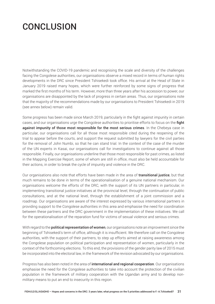## **CONCLUSION**

Notwithstanding the COVID-19 pandemic and recognising the scale and diversity of the challenges facing the Congolese authorities, our organisations observe a mixed record in terms of human rights developments in the DRC since President Tshisekedi took office. His arrival at the Head of State in January 2019 raised many hopes, which were further reinforced by some signs of progress that marked the first months of his term. However, more than three years after his accession to power, our organisations are disappointed by the lack of progress in certain areas. Thus, our organisations note that the majority of the recommendations made by our organisations to President Tshisekedi in 2019 (see annex below) remain valid.

Some progress has been made since March 2019, particularly in the fight against impunity in certain cases, and our organisations urge the Congolese authorities to prioritise efforts to focus on the **fight** against impunity of those most responsible for the most serious crimes. In the Chebeya case in particular, our organisations call for all those most responsible cited during the reopening of the trial to appear before the courts, and support the request submitted by lawyers for the civil parties for the removal of John Numbi, so that he can stand trial. In the context of the case of the murder of the UN experts in Kasai, our organisations call for investigations to continue against all those responsible. Finally, our organisations underline that those most responsible for past crimes, as listed in the Mapping Exercise Report, some of whom are still in office, must also be held accountable for their actions, in order to break the cycle of impunity and violence in the DRC.

Our organisations also note that efforts have been made in the area of **transitional justice**, but that much remains to be done in terms of the operationalisation of a genuine national mechanism. Our organisations welcome the efforts of the DRC, with the support of its UN partners in particular, in implementing transitional justice initiatives at the provincial level, through the continuation of public consultations, and at the national level, through the establishment of a joint commission and a roadmap. Our organisations are aware of the interest expressed by various international partners in providing support to the Congolese authorities in this area and emphasise the need for coordination between these partners and the DRC government in the implementation of these initiatives. We call for the operationalisation of the reparation fund for victims of sexual violence and serious crimes.

With regard to the **political representation of women**, our organisations note an improvement since the beginning of Tshisekedi's term of office, although it is insufficient. We therefore call on the Congolese authorities, with the support of their partners, to step up efforts aimed at raising awareness among the Congolese population on political participation and representation of women, particularly in the context of the forthcoming elections. To this end, the provisions of the gender parity law of 2015 must be incorporated into the electoral law, in the framework of the revision advocated by our organisations.

Progress has also been noted in the area of **international and regional cooperation**. Our organisations emphasise the need for the Congolese authorities to take into account the protection of the civilian population in the framework of military cooperation with the Ugandan army and to develop nonmilitary means to put an end to insecurity in this region.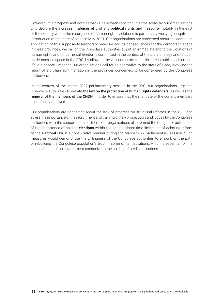However, little progress and even setbacks have been recorded in some areas by our organisations who deplore the **increase in abuses of civil and political rights and insecurity**, notably in the east of the country where the resurgence of human rights violations is particularly worrying, despite the introduction of the state of siege in May 2021. Our organisations are concerned about the continued application of this supposedly temporary measure and its consequences for the democratic space in these provinces. We call on the Congolese authorities to put an immediate end to the violations of human rights and fundamental freedoms committed in the context of the state of siege and to open up democratic space in the DRC, by allowing the various actors to participate in public and political life in a peaceful manner. Our organisations call for an alternative to the state of siege, involving the return of a civilian administration in the provinces concerned, to be considered by the Congolese authorities.

In the context of the March 2022 parliamentary session in the DRC, our organisations urge the Congolese authorities to debate the law on the protection of human rights defenders, as well as the **renewal of the members of the CNDH**, in order to ensure that the mandate of the current members is not tacitly renewed.

Our organisations are concerned about the lack of progress on structural reforms in the DRC and stress the importance of the recruitment and training of new prosecutors and judges by the Congolese authorities with the support of its partners. Our organisations also remind the Congolese authorities of the importance of holding **elections** within the constitutional time limits and of debating reform of the **electoral law** in a consultative manner during the March 2022 parliamentary session. Such measures would demonstrate the willingness of the Congolese authorities to embark on the path of rebuilding the Congolese population's trust in some of its institutions, which is essential for the establishment of an environment conducive to the holding of credible elections.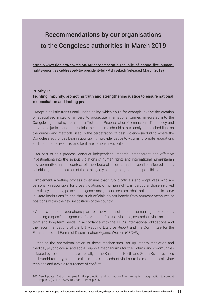## Recommendations by our organisations to the Congolese authorities in March 2019

[https://www.fidh.org/en/region/Africa/democratic-republic-of-congo/five-human](https://www.fidh.org/en/region/Africa/democratic-republic-of-congo/five-human-rights-priorities-addressed-to-president-felix-tshisekedi)[rights-priorities-addressed-to-president-felix-tshisekedi](https://www.fidh.org/en/region/Africa/democratic-republic-of-congo/five-human-rights-priorities-addressed-to-president-felix-tshisekedi) (released March 2019)

#### Priority 1: Fighting impunity, promoting truth and strengthening justice to ensure national reconciliation and lasting peace

• Adopt a holistic transitional justice policy, which could for example involve the creation of specialised mixed chambers to prosecute international crimes, integrated into the Congolese judicial system, and a Truth and Reconciliation Commission. This policy and its various judicial and non-judicial mechanisms should aim to analyse and shed light on the crimes and methods used in the perpetration of past violence (including where the Congolese authorities bear responsibility); provide justice to victims; promote reparations and institutional reforms; and facilitate national reconciliation.

• As part of this process, conduct independent, impartial, transparent and effective investigations into the serious violations of human rights and international humanitarian law committed in the context of the electoral process and in conflict-affected areas, prioritising the prosecution of those allegedly bearing the greatest responsibility.

• Implement a vetting process to ensure that "Public officials and employees who are personally responsible for gross violations of human rights, in particular those involved in military, security, police, intelligence and judicial sectors, shall not continue to serve in State institutions"<sup>166</sup> and that such officials do not benefit from amnesty measures or positions within the new institutions of the country.

• Adopt a national reparations plan for the victims of serious human rights violations, including a specific programme for victims of sexual violence, centred on victims' shortterm and long-term needs, in accordance with the DRC's international obligations and the recommendations of the UN Mapping Exercise Report and the Committee for the Elimination of all Forms of Discrimination Against Women (CEDAW).

• Pending the operationalisation of these mechanisms, set up interim mediation and medical, psychological and social support mechanisms for the victims and communities affected by recent conflicts, especially in the Kasai, Ituri, North and South Kivu provinces and Yumbi territory, to enable the immediate needs of victims to be met and to alleviate tensions and avoid a resurgence of conflict.

<sup>166.</sup> See Updated Set of principles for the protection and promotion of human rights through action to combat impunity (E/CN.4/2005/102/Add.1), Principle 36.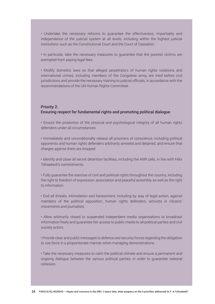• Undertake the necessary reforms to guarantee the effectiveness, impartiality and independence of the judicial system at all levels, including within the highest judicial institutions such as the Constitutional Court and the Court of Cassation.

• In particular, take the necessary measures to guarantee that the poorest victims are exempted from paying legal fees.

• Modify domestic laws so that alleged perpetrators of human rights violations and international crimes, including members of the Congolese army, are tried before civil jurisdictions and provide the necessary training to judicial officials, in accordance with the recommendations of the UN Human Rights Committee.

#### Priority 2: Ensuring respect for fundamental rights and promoting political dialogue

• Ensure the protection of the physical and psychological integrity of all human rights defenders under all circumstances.

• Immediately and unconditionally release all prisoners of conscience, including political opponents and human rights defenders arbitrarily arrested and detained, and ensure that charges against them are dropped.

• Identify and close all secret detention facilities, including the ANR cells, in line with Félix Tshisekedi's commitments.

• Fully guarantee the exercise of civil and political rights throughout the country, including the right to freedom of expression, association and peaceful assembly, as well as the right to information.

• End all threats, intimidation and harassment, including by way of legal action, against members of the political opposition, human rights defenders, activists in citizens' movements and journalists.

• Allow arbitrarily closed or suspended independent media organisations to broadcast information freely and guarantee fair access to public media to all political parties and civil society actors.

• Provide clear and public messages to defence and security forces regarding the obligation to use force in a proportionate manner when managing demonstrations.

• Take the necessary measures to calm the political climate and ensure a permanent and ongoing dialogue between the various political parties, in order to guarantee national cohesion.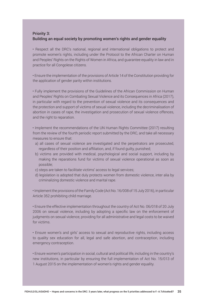#### Priority 3: Building an equal society by promoting women's rights and gender equality

• Respect all the DRC's national, regional and international obligations to protect and promote women's rights, including under the Protocol to the African Charter on Human and Peoples' Rights on the Rights of Women in Africa, and guarantee equality in law and in practice for all Congolese citizens.

• Ensure the implementation of the provisions of Article 14 of the Constitution providing for the application of gender parity within institutions.

• Fully implement the provisions of the Guidelines of the African Commission on Human and Peoples' Rights on Combating Sexual Violence and its Consequences in Africa (2017), in particular with regard to the prevention of sexual violence and its consequences and the protection and support of victims of sexual violence, including the decriminalisation of abortion in cases of rape, the investigation and prosecution of sexual violence offences, and the right to reparation.

• Implement the recommendations of the UN Human Rights Committee (2017) resulting from the review of the fourth periodic report submitted by the DRC, and take all necessary measures to ensure that:

- a) all cases of sexual violence are investigated and the perpetrators are prosecuted, regardless of their position and affiliation, and, if found guilty, punished;
- b) victims are provided with medical, psychological and social support, including by making the reparations fund for victims of sexual violence operational as soon as possible;
- c) steps are taken to facilitate victims' access to legal services;
- d) legislation is adopted that duly protects women from domestic violence, inter alia by criminalizing domestic violence and marital rape.

• Implement the provisions of the Family Code (Act No. 16/008 of 15 July 2016), in particular Article 352 prohibiting child marriage.

• Ensure the effective implementation throughout the country of Act No. 06/018 of 20 July 2006 on sexual violence, including by adopting a specific law on the enforcement of judgments on sexual violence, providing for all administrative and legal costs to be waived for victims.

• Ensure women's and girls' access to sexual and reproductive rights, including access to quality sex education for all, legal and safe abortion, and contraception, including emergency contraception.

• Ensure women's participation in social, cultural and political life, including in the country's new institutions, in particular by ensuring the full implementation of Act No. 15/013 of 1 August 2015 on the implementation of women's rights and gender equality.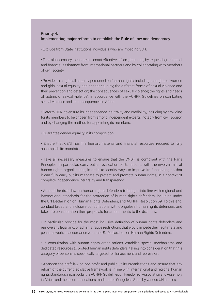#### Priority 4: Implementing major reforms to establish the Rule of Law and democracy

• Exclude from State institutions individuals who are impeding SSR.

• Take all necessary measures to enact effective reform, including by requesting technical and financial assistance from international partners and by collaborating with members of civil society.

• Provide training to all security personnel on "human rights, including the rights of women and girls; sexual equality and gender equality; the different forms of sexual violence and their prevention and detection; the consequences of sexual violence; the rights and needs of victims of sexual violence", in accordance with the ACHPR Guidelines on combating sexual violence and its consequences in Africa.

• Reform CENI to ensure its independence, neutrality and credibility, including by providing for its members to be chosen from among independent experts, notably from civil society, and by changing the method for appointing its members.

• Guarantee gender equality in its composition.

• Ensure that CENI has the human, material and financial resources required to fully accomplish its mandate.

• Take all necessary measures to ensure that the CNDH is compliant with the Paris Principles. In particular, carry out an evaluation of its actions, with the involvement of human rights organisations, in order to identify ways to improve its functioning so that it can fully carry out its mandate to protect and promote human rights, in a context of complete independence, neutrality and transparency.

• Amend the draft law on human rights defenders to bring it into line with regional and international standards for the protection of human rights defenders, including under the UN Declaration on Human Rights Defenders, and ACHPR Resolution 69. To this end, conduct broad and inclusive consultations with Congolese human rights defenders and take into consideration their proposals for amendments to the draft law.

• In particular, provide for the most inclusive definition of human rights defenders and remove any legal and/or administrative restrictions that would impede their legitimate and peaceful work, in accordance with the UN Declaration on Human Rights Defenders.

• In consultation with human rights organisations, establish special mechanisms and dedicated resources to protect human rights defenders, taking into consideration that this category of persons is specifically targeted for harassment and repression.

• Abandon the draft law on non-profit and public utility organisations and ensure that any reform of the current legislative framework is in line with international and regional human rights standards, in particular the ACHPR Guidelines on Freedom of Association and Assembly in Africa, and the recommendations made to the Congolese State by various UN entities.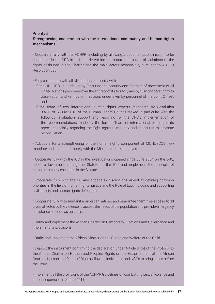#### Priority 5:

#### Strengthening cooperation with the international community and human rights mechanisms

• Cooperate fully with the ACHPR, including by allowing a documentation mission to be conducted in the DRC in order to determine the nature and scope of violations of the rights enshrined in the Charter and the main actors responsible, pursuant to ACHPR Resolution 393.

• Fully collaborate with all UN entities, especially with

- a) the UNJHRO, in particular by "ensuring the security and freedom of movement of all United Nations personnel over the entirety of its territory and by fully cooperating with observation and verification missions undertaken by personnel of the Joint Office"; and
- b) the team of two international human rights experts mandated by Resolution 38/20 of 6 July 2018 of the Human Rights Council tasked in particular with the follow-up, evaluation, support and reporting for the DRC's implementation of the recommendations made by the former Team of international experts in its report, especially regarding the fight against impunity and measures to promote reconciliation.

• Advocate for a strengthening of the human rights component of MONUSCO's new mandate and cooperate closely with the Mission's representatives.

• Cooperate fully with the ICC in the investigations opened since June 2004 on the DRC, adopt a law implementing the Statute of the ICC and implement the principle of complementarity enshrined in the Statute.

• Cooperate fully with the EU and engage in discussions aimed at defining common priorities in the field of human rights, justice and the Rule of Law, including and supporting civil society and human rights defenders.

• Cooperate fully with humanitarian organisations and guarantee them free access to all areas affected by the violence to assess the needs of the population and provide emergency assistance as soon as possible.

• Ratify and implement the African Charter on Democracy, Elections and Governance and implement its provisions.

• Ratify and implement the African Charter on the Rights and Welfare of the Child.

• Deposit the instrument confirming the declaration under Article 34(6) of the Protocol to the African Charter on Human and Peoples' Rights on the Establishment of the African Court on Human and Peoples' Rights, allowing individuals and NGOs to bring cases before the Court.

• Implement all the provisions of the ACHPR Guidelines on combatting sexual violence and its consequences in Africa (2017).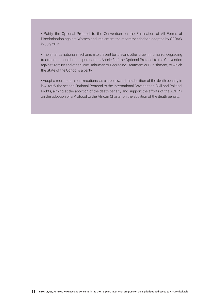• Ratify the Optional Protocol to the Convention on the Elimination of All Forms of Discrimination against Women and implement the recommendations adopted by CEDAW in July 2013.

• Implement a national mechanism to prevent torture and other cruel, inhuman or degrading treatment or punishment, pursuant to Article 3 of the Optional Protocol to the Convention against Torture and other Cruel, Inhuman or Degrading Treatment or Punishment, to which the State of the Congo is a party.

• Adopt a moratorium on executions, as a step toward the abolition of the death penalty in law; ratify the second Optional Protocol to the International Covenant on Civil and Political Rights, aiming at the abolition of the death penalty and support the efforts of the ACHPR on the adoption of a Protocol to the African Charter on the abolition of the death penalty.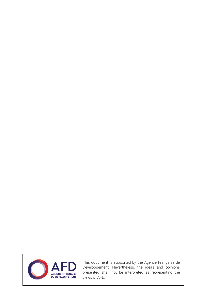

This document is supported by the Agence Française de Développement. Nevertheless, the ideas and opinions presented shall not be interpreted as representing the views of AFD.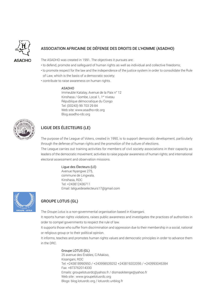

#### ASSOCIATION AFRICAINE DE DÉFENSE DES DROITS DE L'HOMME (ASADHO)

The ASADHO was created in 1991. The objectives it pursues are:

- to defend, promote and safeguard of human rights as well as individual and collective freedoms;
- to promote respect for the law and the independence of the justice system in order to consolidate the Rule of Law, which is the basis of a democratic society;
- contribute to raise awareness on human rights.

#### ASADHO

Immeuble Katalay, Avenue de la Paix n° 12 Kinshasa / Gombe, Local 1, 1<sup>er</sup> niveau République démocratique du Congo Tel: (00243) 99 703 29 84 Web site: www.asadho-rdc.org Blog.asadho-rdc.org



#### LIGUE DES ÉLECTEURS (LE)

The purpose of the League of Voters, created in 1990, is to support democratic development, particularly through the defense of human rights and the promotion of the culture of elections.

The League carries out training activities for members of civil society associations in their capacity as leaders of the democratic movement; activities to raise popular awareness of human rights; and international electoral assessment and observation missions.

#### Ligue des Électeurs (LE)

Avenue Nyangwe 275, commune de Lingwala, Kinshasa, RDC Tel: +243812436711 Email: laliguedeselecteurs17@gmail.com



#### GROUPE LOTUS (GL)

The *Groupe Lotus* is a non-governmental organisation based in Kisangani.

It reports human rights violations, raises public awareness and investigates the practices of authorities in order to compel governments to respect the rule of law.

It supports those who suffer from discrimination and oppression due to their membership in a social, national or religious group or to their political opinion.

It informs, teaches and promotes human rights values and democratic principles in order to advance them in the DRC.

#### Groupe LOTUS (GL)

25 avenue des Érables, C/Makiso, Kisangani, RDC Tel: +243818990950 / +243998539252 +243819202095 / +243993045384 Fax: +873762014330 Emails: groupelotusrdc@yahoo.fr / dismaskitenge@yahoo.fr Web site : www.groupelotusrdc.org Blogs: blog.lotusrdc.org / lotusrdc.unblog.fr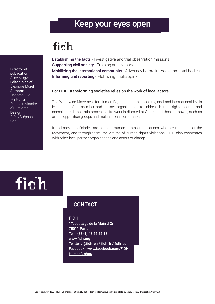## Keep your eyes open

# fidh

Director of publication: Alice Mogwe Editor in chief: Éléonore Morel Authors: Hassatou Ba-Minté, Julia Doublait, Victoire d'Humieres Design: FIDH/Stéphanie Geel

**Establishing the facts** - Investigative and trial observation missions Supporting civil society - Training and exchange Mobilizing the international community - Advocacy before intergovernmental bodies Informing and reporting - Mobilizing public opinion

#### For FIDH, transforming societies relies on the work of local actors.

The Worldwide Movement for Human Rights acts at national, regional and international levels in support of its member and partner organisations to address human rights abuses and consolidate democratic processes. Its work is directed at States and those in power, such as armed opposition groups and multinational corporations.

Its primary beneficiaries are national human rights organisations who are members of the Movement, and through them, the victims of human rights violations. FIDH also cooperates with other local partner organisations and actors of change.

# fidh

### **CONTACT**

#### FIDH

17, passage de la Main d'Or 75011 Paris Tél. : (33-1) 43 55 25 18 <www.fidh.org> Twitter : [@fidh\\_en](mailto:@fidh_en) / [fidh\\_fr](mailto:@fidh_fr) / [fidh\\_es](mailto:@fidh_es) Facebook : [www.facebook.com/FIDH.](https://www.facebook.com/FIDH.HumanRights/) [HumanRights/](https://www.facebook.com/FIDH.HumanRights/)